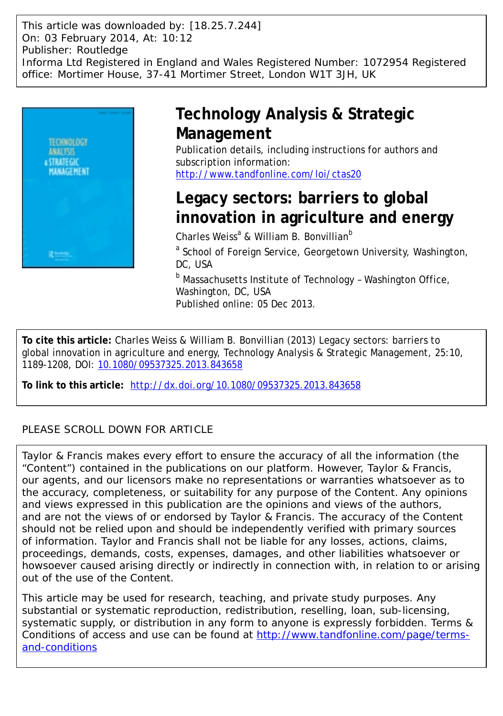This article was downloaded by: [18.25.7.244] On: 03 February 2014, At: 10:12 Publisher: Routledge Informa Ltd Registered in England and Wales Registered Number: 1072954 Registered office: Mortimer House, 37-41 Mortimer Street, London W1T 3JH, UK



# **Technology Analysis & Strategic Management**

Publication details, including instructions for authors and subscription information: <http://www.tandfonline.com/loi/ctas20>

# **Legacy sectors: barriers to global innovation in agriculture and energy**

Charles Weiss<sup>a</sup> & William B. Bonvillian<sup>b</sup>

<sup>a</sup> School of Foreign Service, Georgetown University, Washington, DC, USA

<sup>b</sup> Massachusetts Institute of Technology - Washington Office, Washington, DC, USA Published online: 05 Dec 2013.

**To cite this article:** Charles Weiss & William B. Bonvillian (2013) Legacy sectors: barriers to global innovation in agriculture and energy, Technology Analysis & Strategic Management, 25:10, 1189-1208, DOI: [10.1080/09537325.2013.843658](http://www.tandfonline.com/action/showCitFormats?doi=10.1080/09537325.2013.843658)

**To link to this article:** <http://dx.doi.org/10.1080/09537325.2013.843658>

## PLEASE SCROLL DOWN FOR ARTICLE

Taylor & Francis makes every effort to ensure the accuracy of all the information (the "Content") contained in the publications on our platform. However, Taylor & Francis, our agents, and our licensors make no representations or warranties whatsoever as to the accuracy, completeness, or suitability for any purpose of the Content. Any opinions and views expressed in this publication are the opinions and views of the authors, and are not the views of or endorsed by Taylor & Francis. The accuracy of the Content should not be relied upon and should be independently verified with primary sources of information. Taylor and Francis shall not be liable for any losses, actions, claims, proceedings, demands, costs, expenses, damages, and other liabilities whatsoever or howsoever caused arising directly or indirectly in connection with, in relation to or arising out of the use of the Content.

This article may be used for research, teaching, and private study purposes. Any substantial or systematic reproduction, redistribution, reselling, loan, sub-licensing, systematic supply, or distribution in any form to anyone is expressly forbidden. Terms & Conditions of access and use can be found at [http://www.tandfonline.com/page/terms](http://www.tandfonline.com/page/terms-and-conditions)[and-conditions](http://www.tandfonline.com/page/terms-and-conditions)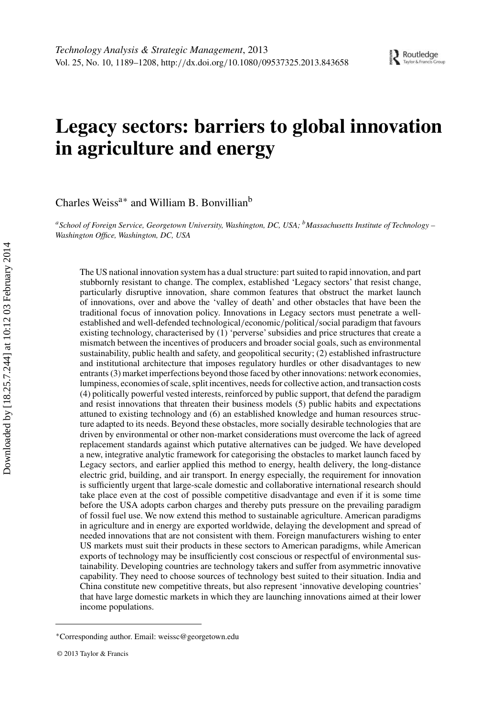# **Legacy sectors: barriers to global innovation in agriculture and energy**

Charles Weiss<sup>a∗</sup> and William B. Bonvillian<sup>b</sup>

*aSchool of Foreign Service, Georgetown University, Washington, DC, USA; bMassachusetts Institute of Technology – Washington Office, Washington, DC, USA*

The US national innovation system has a dual structure: part suited to rapid innovation, and part stubbornly resistant to change. The complex, established 'Legacy sectors' that resist change, particularly disruptive innovation, share common features that obstruct the market launch of innovations, over and above the 'valley of death' and other obstacles that have been the traditional focus of innovation policy. Innovations in Legacy sectors must penetrate a wellestablished and well-defended technological*/*economic*/*political*/*social paradigm that favours existing technology, characterised by (1) 'perverse' subsidies and price structures that create a mismatch between the incentives of producers and broader social goals, such as environmental sustainability, public health and safety, and geopolitical security; (2) established infrastructure and institutional architecture that imposes regulatory hurdles or other disadvantages to new entrants (3) market imperfections beyond those faced by other innovations: network economies, lumpiness, economies of scale, split incentives, needs for collective action, and transaction costs (4) politically powerful vested interests, reinforced by public support, that defend the paradigm and resist innovations that threaten their business models (5) public habits and expectations attuned to existing technology and (6) an established knowledge and human resources structure adapted to its needs. Beyond these obstacles, more socially desirable technologies that are driven by environmental or other non-market considerations must overcome the lack of agreed replacement standards against which putative alternatives can be judged. We have developed a new, integrative analytic framework for categorising the obstacles to market launch faced by Legacy sectors, and earlier applied this method to energy, health delivery, the long-distance electric grid, building, and air transport. In energy especially, the requirement for innovation is sufficiently urgent that large-scale domestic and collaborative international research should take place even at the cost of possible competitive disadvantage and even if it is some time before the USA adopts carbon charges and thereby puts pressure on the prevailing paradigm of fossil fuel use. We now extend this method to sustainable agriculture. American paradigms in agriculture and in energy are exported worldwide, delaying the development and spread of needed innovations that are not consistent with them. Foreign manufacturers wishing to enter US markets must suit their products in these sectors to American paradigms, while American exports of technology may be insufficiently cost conscious or respectful of environmental sustainability. Developing countries are technology takers and suffer from asymmetric innovative capability. They need to choose sources of technology best suited to their situation. India and China constitute new competitive threats, but also represent 'innovative developing countries' that have large domestic markets in which they are launching innovations aimed at their lower income populations.

<sup>∗</sup>Corresponding author. Email: weissc@georgetown.edu

<sup>© 2013</sup> Taylor & Francis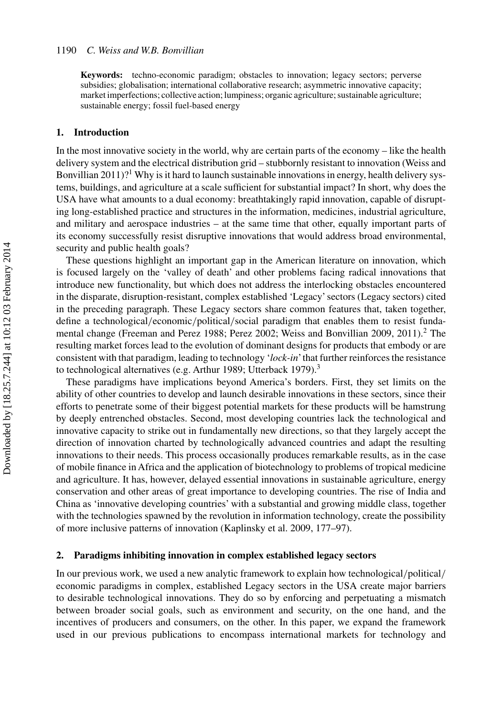**Keywords:** techno-economic paradigm; obstacles to innovation; legacy sectors; perverse subsidies; globalisation; international collaborative research; asymmetric innovative capacity; market imperfections; collective action; lumpiness; organic agriculture; sustainable agriculture; sustainable energy; fossil fuel-based energy

### **1. Introduction**

In the most innovative society in the world, why are certain parts of the economy – like the health delivery system and the electrical distribution grid – stubbornly resistant to innovation [\(Weiss and](#page-20-0) [Bonvillian 2011\)](#page-20-0)?<sup>1</sup> Why is it hard to launch sustainable innovations in energy, health delivery systems, buildings, and agriculture at a scale sufficient for substantial impact? In short, why does the USA have what amounts to a dual economy: breathtakingly rapid innovation, capable of disrupting long-established practice and structures in the information, medicines, industrial agriculture, and military and aerospace industries – at the same time that other, equally important parts of its economy successfully resist disruptive innovations that would address broad environmental, security and public health goals?

These questions highlight an important gap in the American literature on innovation, which is focused largely on the 'valley of death' and other problems facing radical innovations that introduce new functionality, but which does not address the interlocking obstacles encountered in the disparate, disruption-resistant, complex established 'Legacy' sectors (Legacy sectors) cited in the preceding paragraph. These Legacy sectors share common features that, taken together, define a technological*/*economic*/*political*/*social paradigm that enables them to resist funda-mental change (Freeman and Perez 1988; [Perez 2002;](#page-19-0) [Weiss and Bonvillian 2009,](#page-20-0) 2011).<sup>2</sup> The resulting market forces lead to the evolution of dominant designs for products that embody or are consistent with that paradigm, leading to technology '*lock-in*'that further reinforces the resistance to technological alternatives (e.g. [Arthur 1989;](#page-17-0) [Utterback 1979\)](#page-20-0).<sup>3</sup>

These paradigms have implications beyond America's borders. First, they set limits on the ability of other countries to develop and launch desirable innovations in these sectors, since their efforts to penetrate some of their biggest potential markets for these products will be hamstrung by deeply entrenched obstacles. Second, most developing countries lack the technological and innovative capacity to strike out in fundamentally new directions, so that they largely accept the direction of innovation charted by technologically advanced countries and adapt the resulting innovations to their needs. This process occasionally produces remarkable results, as in the case of mobile finance in Africa and the application of biotechnology to problems of tropical medicine and agriculture. It has, however, delayed essential innovations in sustainable agriculture, energy conservation and other areas of great importance to developing countries. The rise of India and China as 'innovative developing countries' with a substantial and growing middle class, together with the technologies spawned by the revolution in information technology, create the possibility of more inclusive patterns of innovation [\(Kaplinsky et al. 2009,](#page-18-0) 177–97).

### **2. Paradigms inhibiting innovation in complex established legacy sectors**

In our previous work, we used a new analytic framework to explain how technological*/*political*/* economic paradigms in complex, established Legacy sectors in the USA create major barriers to desirable technological innovations. They do so by enforcing and perpetuating a mismatch between broader social goals, such as environment and security, on the one hand, and the incentives of producers and consumers, on the other. In this paper, we expand the framework used in our previous publications to encompass international markets for technology and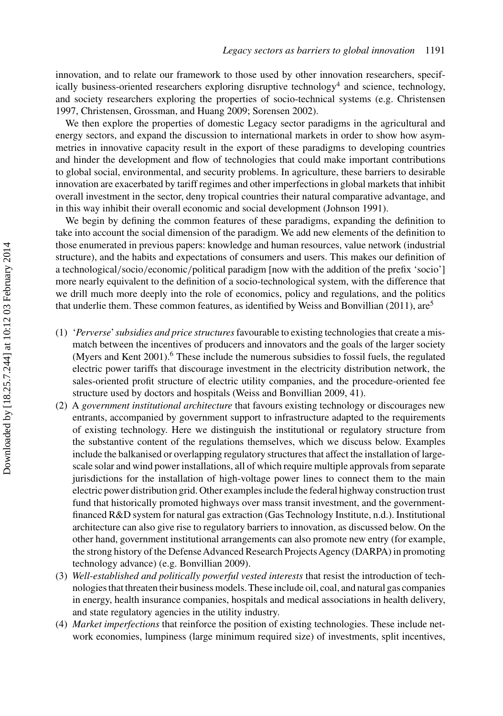innovation, and to relate our framework to those used by other innovation researchers, specifically business-oriented researchers exploring disruptive technology<sup>4</sup> and science, technology, and [society researchers exploring the properties of socio-technical systems \(e.g.](#page-17-0) Christensen 1997, [Christensen, Grossman, and Huang 2009;](#page-17-0) [Sorensen 2002\)](#page-19-0).

We then explore the properties of domestic Legacy sector paradigms in the agricultural and energy sectors, and expand the discussion to international markets in order to show how asymmetries in innovative capacity result in the export of these paradigms to developing countries and hinder the development and flow of technologies that could make important contributions to global social, environmental, and security problems. In agriculture, these barriers to desirable innovation are exacerbated by tariff regimes and other imperfections in global markets that inhibit overall investment in the sector, deny tropical countries their natural comparative advantage, and in this way inhibit their overall economic and social development [\(Johnson 1991\)](#page-18-0).

We begin by defining the common features of these paradigms, expanding the definition to take into account the social dimension of the paradigm. We add new elements of the definition to those enumerated in previous papers: knowledge and human resources, value network (industrial structure), and the habits and expectations of consumers and users. This makes our definition of a technological*/*socio*/*economic*/*political paradigm [now with the addition of the prefix 'socio'] more nearly equivalent to the definition of a socio-technological system, with the difference that we drill much more deeply into the role of economics, policy and regulations, and the politics that underlie them. These common features, as identified by [Weiss and Bonvillian \(2011\),](#page-20-0) are<sup>5</sup>

- (1) '*Perverse*'*subsidies and price structures*favourable to existing technologies that create a mismatch between the incentives of producers and innovators and the goals of the larger society [\(Myers and Kent 2001\)](#page-18-0).<sup>6</sup> These include the numerous subsidies to fossil fuels, the regulated electric power tariffs that discourage investment in the electricity distribution network, the sales-oriented profit structure of electric utility companies, and the procedure-oriented fee structure used by doctors and hospitals [\(Weiss and Bonvillian 2009,](#page-20-0) 41).
- (2) A *government institutional architecture* that favours existing technology or discourages new entrants, accompanied by government support to infrastructure adapted to the requirements of existing technology. Here we distinguish the institutional or regulatory structure from the substantive content of the regulations themselves, which we discuss below. Examples include the balkanised or overlapping regulatory structures that affect the installation of largescale solar and wind power installations, all of which require multiple approvals from separate jurisdictions for the installation of high-voltage power lines to connect them to the main electric power distribution grid. Other examples include the federal highway construction trust fund that historically promoted highways over mass transit investment, and the governmentfinanced R&D system for natural gas extraction (Gas Technology Institute, n.d.). Institutional architecture can also give rise to regulatory barriers to innovation, as discussed below. On the other hand, government institutional arrangements can also promote new entry (for example, the strong history of the Defense Advanced Research Projects Agency (DARPA) in promoting technology advance) (e.g. [Bonvillian 2009\)](#page-17-0).
- (3) *Well-established and politically powerful vested interests* that resist the introduction of technologies that threaten their business models. These include oil, coal, and natural gas companies in energy, health insurance companies, hospitals and medical associations in health delivery, and state regulatory agencies in the utility industry.
- (4) *Market imperfections* that reinforce the position of existing technologies. These include network economies, lumpiness (large minimum required size) of investments, split incentives,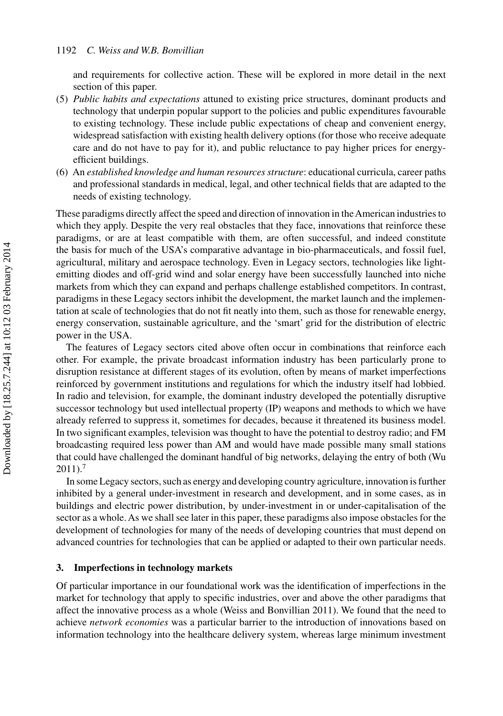and requirements for collective action. These will be explored in more detail in the next section of this paper.

- (5) *Public habits and expectations* attuned to existing price structures, dominant products and technology that underpin popular support to the policies and public expenditures favourable to existing technology. These include public expectations of cheap and convenient energy, widespread satisfaction with existing health delivery options (for those who receive adequate care and do not have to pay for it), and public reluctance to pay higher prices for energyefficient buildings.
- (6) An *established knowledge and human resources structure*: educational curricula, career paths and professional standards in medical, legal, and other technical fields that are adapted to the needs of existing technology.

These paradigms directly affect the speed and direction of innovation in the American industries to which they apply. Despite the very real obstacles that they face, innovations that reinforce these paradigms, or are at least compatible with them, are often successful, and indeed constitute the basis for much of the USA's comparative advantage in bio-pharmaceuticals, and fossil fuel, agricultural, military and aerospace technology. Even in Legacy sectors, technologies like lightemitting diodes and off-grid wind and solar energy have been successfully launched into niche markets from which they can expand and perhaps challenge established competitors. In contrast, paradigms in these Legacy sectors inhibit the development, the market launch and the implementation at scale of technologies that do not fit neatly into them, such as those for renewable energy, energy conservation, sustainable agriculture, and the 'smart' grid for the distribution of electric power in the USA.

The features of Legacy sectors cited above often occur in combinations that reinforce each other. For example, the private broadcast information industry has been particularly prone to disruption resistance at different stages of its evolution, often by means of market imperfections reinforced by government institutions and regulations for which the industry itself had lobbied. In radio and television, for example, the dominant industry developed the potentially disruptive successor technology but used intellectual property (IP) weapons and methods to which we have already referred to suppress it, sometimes for decades, because it threatened its business model. In two significant examples, television was thought to have the potential to destroy radio; and FM broadcasting required less power than AM and would have made possible many small stations that [could have challenged the dominant handful of big networks, delaying the entry of both \(](#page-20-0)Wu  $2011$ ).<sup>7</sup>

In some Legacy sectors, such as energy and developing country agriculture, innovation is further inhibited by a general under-investment in research and development, and in some cases, as in buildings and electric power distribution, by under-investment in or under-capitalisation of the sector as a whole. As we shall see later in this paper, these paradigms also impose obstacles for the development of technologies for many of the needs of developing countries that must depend on advanced countries for technologies that can be applied or adapted to their own particular needs.

#### **3. Imperfections in technology markets**

Of particular importance in our foundational work was the identification of imperfections in the market for technology that apply to specific industries, over and above the other paradigms that affect the innovative process as a whole [\(Weiss and Bonvillian 2011\)](#page-20-0). We found that the need to achieve *network economies* was a particular barrier to the introduction of innovations based on information technology into the healthcare delivery system, whereas large minimum investment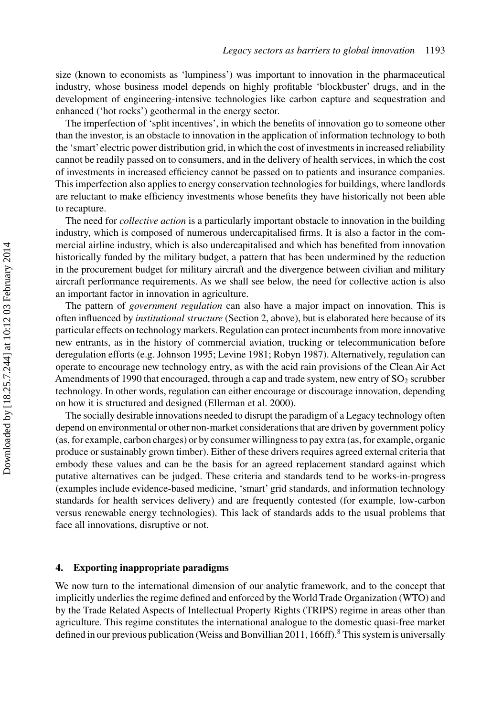size (known to economists as 'lumpiness') was important to innovation in the pharmaceutical industry, whose business model depends on highly profitable 'blockbuster' drugs, and in the development of engineering-intensive technologies like carbon capture and sequestration and enhanced ('hot rocks') geothermal in the energy sector.

The imperfection of 'split incentives', in which the benefits of innovation go to someone other than the investor, is an obstacle to innovation in the application of information technology to both the 'smart'electric power distribution grid, in which the cost of investments in increased reliability cannot be readily passed on to consumers, and in the delivery of health services, in which the cost of investments in increased efficiency cannot be passed on to patients and insurance companies. This imperfection also applies to energy conservation technologies for buildings, where landlords are reluctant to make efficiency investments whose benefits they have historically not been able to recapture.

The need for *collective action* is a particularly important obstacle to innovation in the building industry, which is composed of numerous undercapitalised firms. It is also a factor in the commercial airline industry, which is also undercapitalised and which has benefited from innovation historically funded by the military budget, a pattern that has been undermined by the reduction in the procurement budget for military aircraft and the divergence between civilian and military aircraft performance requirements. As we shall see below, the need for collective action is also an important factor in innovation in agriculture.

The pattern of *government regulation* can also have a major impact on innovation. This is often influenced by *institutional structure* (Section 2, above), but is elaborated here because of its particular effects on technology markets. Regulation can protect incumbents from more innovative new entrants, as in the history of commercial aviation, trucking or telecommunication before deregulation efforts (e.g. [Johnson 1995; Levine 1981;](#page-18-0) [Robyn 1987\)](#page-19-0). Alternatively, regulation can operate to encourage new technology entry, as with the acid rain provisions of the Clean Air Act Amendments of 1990 that encouraged, through a cap and trade system, new entry of  $SO<sub>2</sub>$  scrubber technology. In other words, regulation can either encourage or discourage innovation, depending on how it is structured and designed [\(Ellerman et al. 2000\)](#page-17-0).

The socially desirable innovations needed to disrupt the paradigm of a Legacy technology often depend on environmental or other non-market considerations that are driven by government policy (as, for example, carbon charges) or by consumer willingness to pay extra (as, for example, organic produce or sustainably grown timber). Either of these drivers requires agreed external criteria that embody these values and can be the basis for an agreed replacement standard against which putative alternatives can be judged. These criteria and standards tend to be works-in-progress (examples include evidence-based medicine, 'smart' grid standards, and information technology standards for health services delivery) and are frequently contested (for example, low-carbon versus renewable energy technologies). This lack of standards adds to the usual problems that face all innovations, disruptive or not.

#### **4. Exporting inappropriate paradigms**

We now turn to the international dimension of our analytic framework, and to the concept that implicitly underlies the regime defined and enforced by the World Trade Organization (WTO) and by the Trade Related Aspects of Intellectual Property Rights (TRIPS) regime in areas other than agriculture. This regime constitutes the international analogue to the domestic quasi-free market defined in our previous publication [\(Weiss and Bonvillian 2011,](#page-20-0) 166ff).<sup>8</sup> This system is universally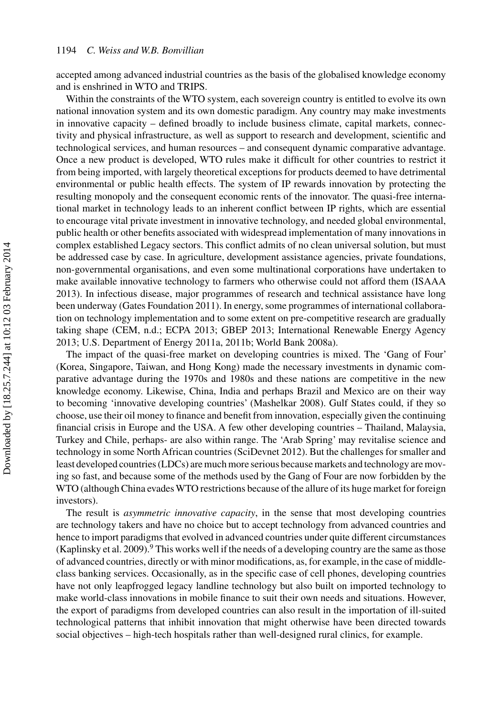accepted among advanced industrial countries as the basis of the globalised knowledge economy and is enshrined in WTO and TRIPS.

Within the constraints of the WTO system, each sovereign country is entitled to evolve its own national innovation system and its own domestic paradigm. Any country may make investments in innovative capacity – defined broadly to include business climate, capital markets, connectivity and physical infrastructure, as well as support to research and development, scientific and technological services, and human resources – and consequent dynamic comparative advantage. Once a new product is developed, WTO rules make it difficult for other countries to restrict it from being imported, with largely theoretical exceptions for products deemed to have detrimental environmental or public health effects. The system of IP rewards innovation by protecting the resulting monopoly and the consequent economic rents of the innovator. The quasi-free international market in technology leads to an inherent conflict between IP rights, which are essential to encourage vital private investment in innovative technology, and needed global environmental, public health or other benefits associated with widespread implementation of many innovations in complex established Legacy sectors. This conflict admits of no clean universal solution, but must be addressed case by case. In agriculture, development assistance agencies, private foundations, non-governmental organisations, and even some multinational corporations have undertaken to make available innovative technology to farmers who otherwise could not afford them [\(ISAAA](#page-18-0) [2013\)](#page-18-0). In infectious disease, major programmes of research and technical assistance have long been underway [\(Gates Foundation 2011\)](#page-17-0). In energy, some programmes of international collaboration on technology implementation and to some extent on pre-competitive research are gradually taking shape (CEM, n.d.; [ECPA 2013; GBEP 2013;](#page-17-0) International Renewable Energy Agency 2013[;](#page-18-0) [U.S. Department of Energy 2011a, 2011b; World Bank 2008a\)](#page-20-0).

The impact of the quasi-free market on developing countries is mixed. The 'Gang of Four' (Korea, Singapore, Taiwan, and Hong Kong) made the necessary investments in dynamic comparative advantage during the 1970s and 1980s and these nations are competitive in the new knowledge economy. Likewise, China, India and perhaps Brazil and Mexico are on their way to becoming 'innovative developing countries' [\(Mashelkar 2008\)](#page-18-0). Gulf States could, if they so choose, use their oil money to finance and benefit from innovation, especially given the continuing financial crisis in Europe and the USA. A few other developing countries – Thailand, Malaysia, Turkey and Chile, perhaps- are also within range. The 'Arab Spring' may revitalise science and technology in some North African countries [\(SciDevnet 2012\)](#page-19-0). But the challenges for smaller and least developed countries (LDCs) are much more serious because markets and technology are moving so fast, and because some of the methods used by the Gang of Four are now forbidden by the WTO (although China evades WTO restrictions because of the allure of its huge market for foreign investors).

The result is *asymmetric innovative capacity*, in the sense that most developing countries are technology takers and have no choice but to accept technology from advanced countries and hence to import paradigms that evolved in advanced countries under quite different circumstances [\(Kaplinsky et al. 2009\)](#page-18-0).<sup>9</sup> This works well if the needs of a developing country are the same as those of advanced countries, directly or with minor modifications, as, for example, in the case of middleclass banking services. Occasionally, as in the specific case of cell phones, developing countries have not only leapfrogged legacy landline technology but also built on imported technology to make world-class innovations in mobile finance to suit their own needs and situations. However, the export of paradigms from developed countries can also result in the importation of ill-suited technological patterns that inhibit innovation that might otherwise have been directed towards social objectives – high-tech hospitals rather than well-designed rural clinics, for example.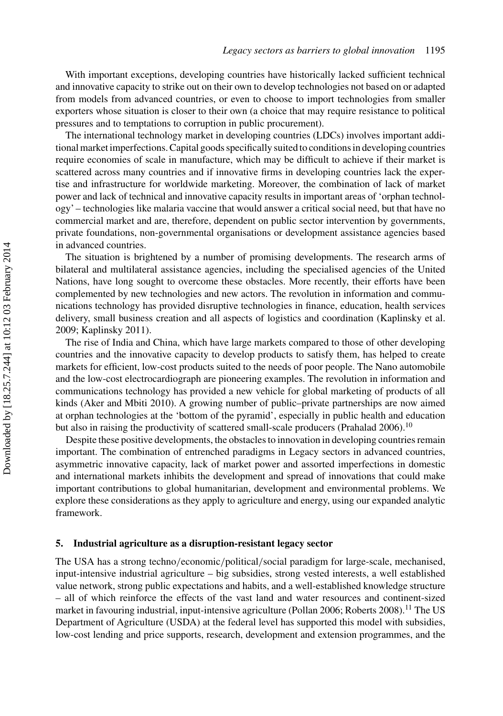With important exceptions, developing countries have historically lacked sufficient technical and innovative capacity to strike out on their own to develop technologies not based on or adapted from models from advanced countries, or even to choose to import technologies from smaller exporters whose situation is closer to their own (a choice that may require resistance to political pressures and to temptations to corruption in public procurement).

The international technology market in developing countries (LDCs) involves important additional market imperfections. Capital goods specifically suited to conditions in developing countries require economies of scale in manufacture, which may be difficult to achieve if their market is scattered across many countries and if innovative firms in developing countries lack the expertise and infrastructure for worldwide marketing. Moreover, the combination of lack of market power and lack of technical and innovative capacity results in important areas of 'orphan technology' – technologies like malaria vaccine that would answer a critical social need, but that have no commercial market and are, therefore, dependent on public sector intervention by governments, private foundations, non-governmental organisations or development assistance agencies based in advanced countries.

The situation is brightened by a number of promising developments. The research arms of bilateral and multilateral assistance agencies, including the specialised agencies of the United Nations, have long sought to overcome these obstacles. More recently, their efforts have been complemented by new technologies and new actors. The revolution in information and communications technology has provided disruptive technologies in finance, education, health services delivery, small business creation and all aspects of logistics and coordination (Kaplinsky et al. 2009[; Kaplinsky 2011\).](#page-18-0)

The rise of India and China, which have large markets compared to those of other developing countries and the innovative capacity to develop products to satisfy them, has helped to create markets for efficient, low-cost products suited to the needs of poor people. The Nano automobile and the low-cost electrocardiograph are pioneering examples. The revolution in information and communications technology has provided a new vehicle for global marketing of products of all kinds (Aker and Mbiti 2010). A growing number of public–private partnerships are now aimed at orphan technologies at the 'bottom of the pyramid', especially in public health and education but also in raising the productivity of scattered small-scale producers [\(Prahalad 2006\)](#page-19-0).<sup>10</sup>

Despite these positive developments, the obstacles to innovation in developing countries remain important. The combination of entrenched paradigms in Legacy sectors in advanced countries, asymmetric innovative capacity, lack of market power and assorted imperfections in domestic and international markets inhibits the development and spread of innovations that could make important contributions to global humanitarian, development and environmental problems. We explore these considerations as they apply to agriculture and energy, using our expanded analytic framework.

### **5. Industrial agriculture as a disruption-resistant legacy sector**

The USA has a strong techno*/*economic*/*political*/*social paradigm for large-scale, mechanised, input-intensive industrial agriculture – big subsidies, strong vested interests, a well established value network, strong public expectations and habits, and a well-established knowledge structure – all of which reinforce the effects of the vast land and water resources and continent-sized market in favouring industrial, input-intensive agriculture [\(Pollan 2006; Roberts 2008\)](#page-19-0).<sup>11</sup> The US Department of Agriculture (USDA) at the federal level has supported this model with subsidies, low-cost lending and price supports, research, development and extension programmes, and the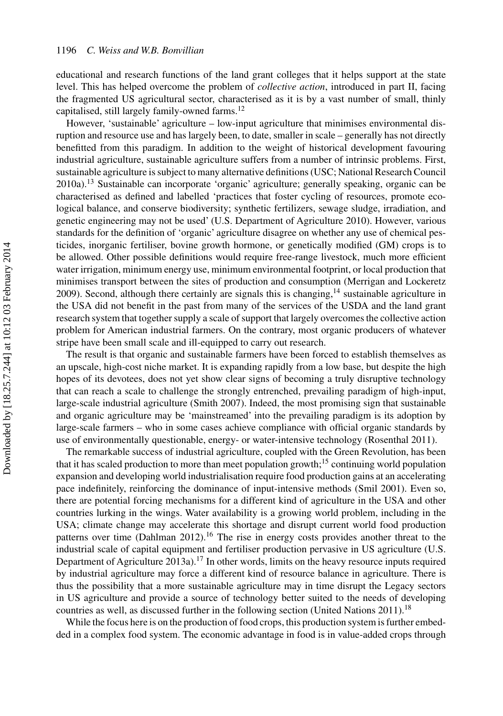educational and research functions of the land grant colleges that it helps support at the state level. This has helped overcome the problem of *collective action*, introduced in part II, facing the fragmented US agricultural sector, characterised as it is by a vast number of small, thinly capitalised, still largely family-owned farms.<sup>12</sup>

However, 'sustainable' agriculture – low-input agriculture that minimises environmental disruption and resource use and has largely been, to date, smaller in scale – generally has not directly benefitted from this paradigm. In addition to the weight of historical development favouring industrial agriculture, sustainable agriculture suffers from a number of intrinsic problems. First, sustai[nable agriculture is subject to many alternative definitions \(USC;](#page-19-0) National Research Council 2010a).<sup>13</sup> Sustainable can incorporate 'organic' agriculture; generally speaking, organic can be characterised as defined and labelled 'practices that foster cycling of resources, promote ecological balance, and conserve biodiversity; synthetic fertilizers, sewage sludge, irradiation, and genetic engineering may not be used' [\(U.S. Department of Agriculture 2010\)](#page-19-0). However, various standards for the definition of 'organic' agriculture disagree on whether any use of chemical pesticides, inorganic fertiliser, bovine growth hormone, or genetically modified (GM) crops is to be allowed. Other possible definitions would require free-range livestock, much more efficient water irrigation, minimum energy use, minimum environmental footprint, or local production that minimises transport between the sites of production and consumption [\(Merrigan and Lockeretz](#page-18-0) [2009\)](#page-18-0). Second, although there certainly are signals this is changing,<sup>14</sup> sustainable agriculture in the USA did not benefit in the past from many of the services of the USDA and the land grant research system that together supply a scale of support that largely overcomes the collective action problem for American industrial farmers. On the contrary, most organic producers of whatever stripe have been small scale and ill-equipped to carry out research.

The result is that organic and sustainable farmers have been forced to establish themselves as an upscale, high-cost niche market. It is expanding rapidly from a low base, but despite the high hopes of its devotees, does not yet show clear signs of becoming a truly disruptive technology that can reach a scale to challenge the strongly entrenched, prevailing paradigm of high-input, large-scale industrial agriculture [\(Smith 2007\)](#page-19-0). Indeed, the most promising sign that sustainable and organic agriculture may be 'mainstreamed' into the prevailing paradigm is its adoption by large-scale farmers – who in some cases achieve compliance with official organic standards by use of environmentally questionable, energy- or water-intensive technology [\(Rosenthal 2011\)](#page-19-0).

The remarkable success of industrial agriculture, coupled with the Green Revolution, has been that it has scaled production to more than meet population growth;<sup>15</sup> continuing world population expansion and developing world industrialisation require food production gains at an accelerating pace indefinitely, reinforcing the dominance of input-intensive methods [\(Smil 2001\)](#page-19-0). Even so, there are potential forcing mechanisms for a different kind of agriculture in the USA and other countries lurking in the wings. Water availability is a growing world problem, including in the USA; climate change may accelerate this shortage and disrupt current world food production patterns over time [\(Dahlman 2012\)](#page-17-0).<sup>16</sup> The rise in energy costs provides another threat to the industrial scale of capital equipment and fertiliser production pervasive in US agriculture (U.S. Department of Agriculture  $2013a$ .<sup>17</sup> [In](#page-19-0) [other](#page-19-0) [words,](#page-19-0) [limits](#page-19-0) [on](#page-19-0) [the](#page-19-0) [heavy](#page-19-0) [resource](#page-19-0) [inputs](#page-19-0) [requ](#page-19-0)ired by industrial agriculture may force a different kind of resource balance in agriculture. There is thus the possibility that a more sustainable agriculture may in time disrupt the Legacy sectors in US agriculture and provide a source of technology better suited to the needs of developing countries as well, as discussed further in the following section [\(United Nations 2011\)](#page-19-0).<sup>18</sup>

While the focus here is on the production of food crops, this production system is further embedded in a complex food system. The economic advantage in food is in value-added crops through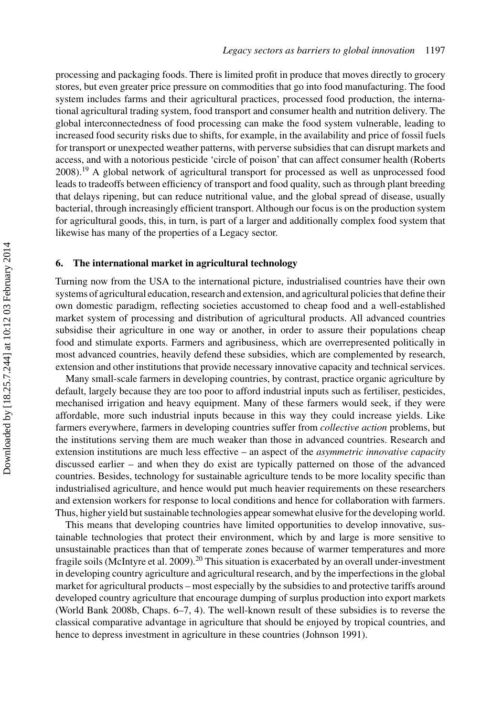processing and packaging foods. There is limited profit in produce that moves directly to grocery stores, but even greater price pressure on commodities that go into food manufacturing. The food system includes farms and their agricultural practices, processed food production, the international agricultural trading system, food transport and consumer health and nutrition delivery. The global interconnectedness of food processing can make the food system vulnerable, leading to increased food security risks due to shifts, for example, in the availability and price of fossil fuels for transport or unexpected weather patterns, with perverse subsidies that can disrupt markets and access, and with a notorious pesticide 'circle of poison' that can affect consumer health [\(Roberts](#page-19-0) [2008\)](#page-19-0).19 A global network of agricultural transport for processed as well as unprocessed food leads to tradeoffs between efficiency of transport and food quality, such as through plant breeding that delays ripening, but can reduce nutritional value, and the global spread of disease, usually bacterial, through increasingly efficient transport. Although our focus is on the production system for agricultural goods, this, in turn, is part of a larger and additionally complex food system that likewise has many of the properties of a Legacy sector.

#### **6. The international market in agricultural technology**

Turning now from the USA to the international picture, industrialised countries have their own systems of agricultural education, research and extension, and agricultural policies that define their own domestic paradigm, reflecting societies accustomed to cheap food and a well-established market system of processing and distribution of agricultural products. All advanced countries subsidise their agriculture in one way or another, in order to assure their populations cheap food and stimulate exports. Farmers and agribusiness, which are overrepresented politically in most advanced countries, heavily defend these subsidies, which are complemented by research, extension and other institutions that provide necessary innovative capacity and technical services.

Many small-scale farmers in developing countries, by contrast, practice organic agriculture by default, largely because they are too poor to afford industrial inputs such as fertiliser, pesticides, mechanised irrigation and heavy equipment. Many of these farmers would seek, if they were affordable, more such industrial inputs because in this way they could increase yields. Like farmers everywhere, farmers in developing countries suffer from *collective action* problems, but the institutions serving them are much weaker than those in advanced countries. Research and extension institutions are much less effective – an aspect of the *asymmetric innovative capacity* discussed earlier – and when they do exist are typically patterned on those of the advanced countries. Besides, technology for sustainable agriculture tends to be more locality specific than industrialised agriculture, and hence would put much heavier requirements on these researchers and extension workers for response to local conditions and hence for collaboration with farmers. Thus, higher yield but sustainable technologies appear somewhat elusive for the developing world.

This means that developing countries have limited opportunities to develop innovative, sustainable technologies that protect their environment, which by and large is more sensitive to unsustainable practices than that of temperate zones because of warmer temperatures and more fragile soils (McIntyre et al. 2009).<sup>20</sup> This situation is exacerbated by an overall under-investment in developing country agriculture and agricultural research, and by the imperfections in the global market for agricultural products – most especially by the subsidies to and protective tariffs around developed country agriculture that encourage dumping of surplus production into export markets [\(World Bank 2008b,](#page-20-0) Chaps. 6–7, 4). The well-known result of these subsidies is to reverse the classical comparative advantage in agriculture that should be enjoyed by tropical countries, and hence to depress investment in agriculture in these countries [\(Johnson 1991\)](#page-18-0).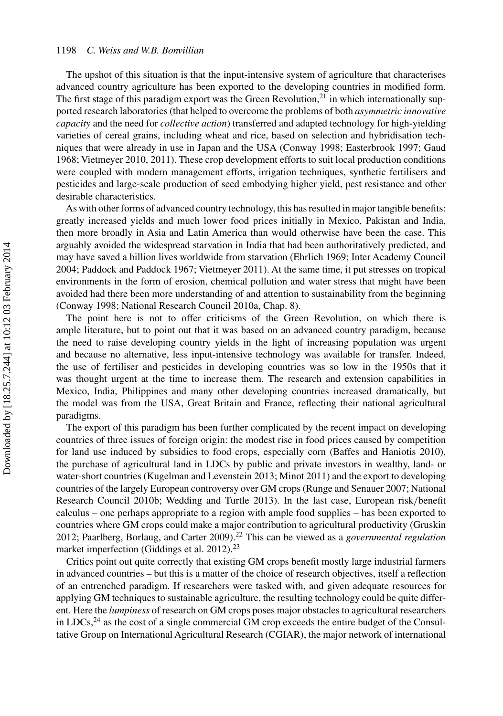The upshot of this situation is that the input-intensive system of agriculture that characterises advanced country agriculture has been exported to the developing countries in modified form. The first stage of this paradigm export was the Green Revolution, $2<sup>1</sup>$  in which internationally supported research laboratories (that helped to overcome the problems of both *asymmetric innovative capacity* and the need for *collective action*) transferred and adapted technology for high-yielding varieties of cereal grains, including wheat and rice, based on selection and hybridisation techniques that were already in use in Japan and the USA [\(Conway 1998; Easterbrook 1997;](#page-17-0) Gaud 1968; [Vietmeyer 2010, 2011\)](#page-20-0). These crop development efforts to suit local production conditions were coupled with modern management efforts, irrigation techniques, synthetic fertilisers and pesticides and large-scale production of seed embodying higher yield, pest resistance and other desirable characteristics.

As with other forms of advanced country technology, this has resulted in major tangible benefits: greatly increased yields and much lower food prices initially in Mexico, Pakistan and India, then more broadly in Asia and Latin America than would otherwise have been the case. This arguably avoided the widespread starvation in India that had been authoritatively predicted, and may have saved a billion lives worldwide from starvation [\(Ehrlich 1969;](#page-17-0) Inter Academy Council 2004; [Paddock and Paddock 1967;](#page-19-0) [Vietmeyer 2011\)](#page-20-0). At the same time, it put stresses on tropical environments in the form of erosion, chemical pollution and water stress that might have been avoided had there been more understanding of and attention to sustainability from the beginning [\(Conway 1998;](#page-17-0) [National Research Council 2010a,](#page-19-0) Chap. 8).

The point here is not to offer criticisms of the Green Revolution, on which there is ample literature, but to point out that it was based on an advanced country paradigm, because the need to raise developing country yields in the light of increasing population was urgent and because no alternative, less input-intensive technology was available for transfer. Indeed, the use of fertiliser and pesticides in developing countries was so low in the 1950s that it was thought urgent at the time to increase them. The research and extension capabilities in Mexico, India, Philippines and many other developing countries increased dramatically, but the model was from the USA, Great Britain and France, reflecting their national agricultural paradigms.

The export of this paradigm has been further complicated by the recent impact on developing countries of three issues of foreign origin: the modest rise in food prices caused by competition for land use induced by subsidies to food crops, especially corn (Baffes and Haniotis 2010), the purchase of agricultural land in LDCs by public and private investors in wealthy, land- or water-short countries [\(Kugelman and Levenstein 2013; Minot 2011\)](#page-18-0) and the export to developing countries of the largely E[uropean](#page-19-0) [controversy](#page-19-0) [over](#page-19-0) [GM](#page-19-0) [crops](#page-19-0) [\(Runge and Senauer 2007;](#page-19-0) National Research Council 2010b; [Wedding and Turtle 2013\)](#page-20-0). In the last case, European risk*/*benefit calculus – one perhaps appropriate to a region with ample food supplies – has been exported to countries where GM crops could make a major contribution to agricultural productivity [\(Gruskin](#page-18-0) [2012;](#page-18-0) Paarlberg, Borlaug, and Carter 2009).<sup>22</sup> This can be viewed as a *governmental regulation* market imperfection [\(Giddings et al. 2012\)](#page-17-0).<sup>23</sup>

Critics point out quite correctly that existing GM crops benefit mostly large industrial farmers in advanced countries – but this is a matter of the choice of research objectives, itself a reflection of an entrenched paradigm. If researchers were tasked with, and given adequate resources for applying GM techniques to sustainable agriculture, the resulting technology could be quite different. Here the *lumpiness* of research on GM crops poses major obstacles to agricultural researchers in LDCs, $^{24}$  as the cost of a single commercial GM crop exceeds the entire budget of the Consultative Group on International Agricultural Research (CGIAR), the major network of international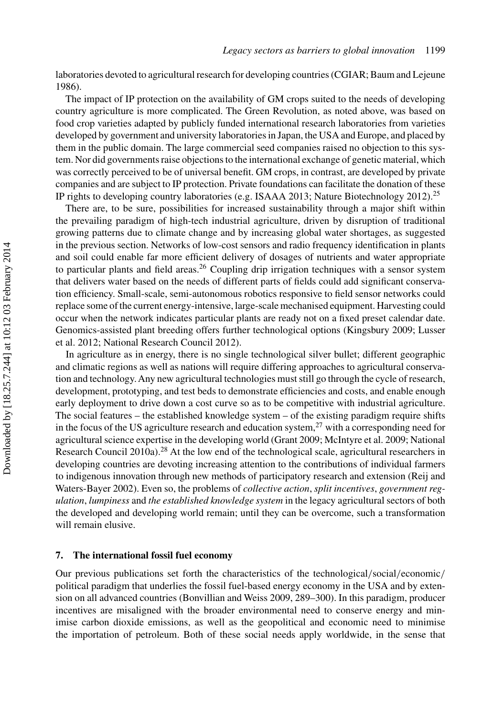laboratories devoted to agricultural research for developing countries (CGIAR; Baum and [Lejeune](#page-17-0) [1986\)](#page-17-0).

The impact of IP protection on the availability of GM crops suited to the needs of developing country agriculture is more complicated. The Green Revolution, as noted above, was based on food crop varieties adapted by publicly funded international research laboratories from varieties developed by government and university laboratories in Japan, the USA and Europe, and placed by them in the public domain. The large commercial seed companies raised no objection to this system. Nor did governments raise objections to the international exchange of genetic material, which was correctly perceived to be of universal benefit. GM crops, in contrast, are developed by private companies and are subject to IP protection. Private foundations can facilitate the donation of these IP rights to developing country laboratories (e.g. [ISAAA 2013;](#page-18-0) [Nature Biotechnology 2012\)](#page-19-0).<sup>25</sup>

There are, to be sure, possibilities for increased sustainability through a major shift within the prevailing paradigm of high-tech industrial agriculture, driven by disruption of traditional growing patterns due to climate change and by increasing global water shortages, as suggested in the previous section. Networks of low-cost sensors and radio frequency identification in plants and soil could enable far more efficient delivery of dosages of nutrients and water appropriate to particular plants and field areas.<sup>26</sup> Coupling drip irrigation techniques with a sensor system that delivers water based on the needs of different parts of fields could add significant conservation efficiency. Small-scale, semi-autonomous robotics responsive to field sensor networks could replace some of the current energy-intensive, large-scale mechanised equipment. Harvesting could occur when the network indicates particular plants are ready not on a fixed preset calendar date. Genomics[-assisted plant breeding offers further technological options \(Kingsbury 2009;](#page-18-0) Lusser et al. 2012; [National Research Council 2012\)](#page-19-0).

In agriculture as in energy, there is no single technological silver bullet; different geographic and climatic regions as well as nations will require differing approaches to agricultural conservation and technology. Any new agricultural technologies must still go through the cycle of research, development, prototyping, and test beds to demonstrate efficiencies and costs, and enable enough early deployment to drive down a cost curve so as to be competitive with industrial agriculture. The social features – the established knowledge system – of the existing paradigm require shifts in the focus of the US agriculture research and education system, $^{27}$  with a corresponding need for agricultural science expe[rtise in the developing world](#page-19-0) [\(Grant 2009; McIntyre et al. 2009;](#page-18-0) National Research Council 2010a).<sup>28</sup> At the low end of the technological scale, agricultural researchers in developing countries are devoting increasing attention to the contributions of individual farmers to indigenous innovation through new methods of participatory research and extension [\(Reij and](#page-19-0) [Waters-Bayer 2002\)](#page-19-0). Even so, the problems of *collective action*, *split incentives*, *government regulation*, *lumpiness* and *the established knowledge system* in the legacy agricultural sectors of both the developed and developing world remain; until they can be overcome, such a transformation will remain elusive.

### **7. The international fossil fuel economy**

Our previous publications set forth the characteristics of the technological*/*social*/*economic*/* political paradigm that underlies the fossil fuel-based energy economy in the USA and by extension on all advanced countries (Bonvillian and Weiss [2009,](#page-20-0) 289–300). In this paradigm, producer incentives are misaligned with the broader environmental need to conserve energy and minimise carbon dioxide emissions, as well as the geopolitical and economic need to minimise the importation of petroleum. Both of these social needs apply worldwide, in the sense that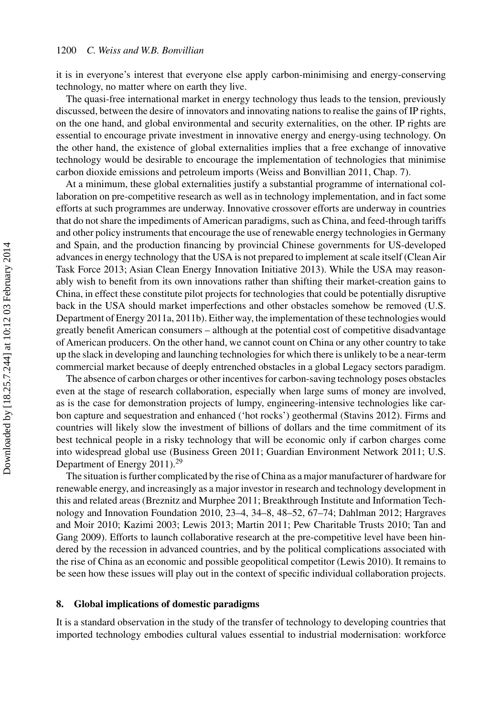it is in everyone's interest that everyone else apply carbon-minimising and energy-conserving technology, no matter where on earth they live.

The quasi-free international market in energy technology thus leads to the tension, previously discussed, between the desire of innovators and innovating nations to realise the gains of IP rights, on the one hand, and global environmental and security externalities, on the other. IP rights are essential to encourage private investment in innovative energy and energy-using technology. On the other hand, the existence of global externalities implies that a free exchange of innovative technology would be desirable to encourage the implementation of technologies that minimise carbon dioxide emissions and petroleum imports [\(Weiss and Bonvillian 2011,](#page-20-0) Chap. 7).

At a minimum, these global externalities justify a substantial programme of international collaboration on pre-competitive research as well as in technology implementation, and in fact some efforts at such programmes are underway. Innovative crossover efforts are underway in countries that do not share the impediments of American paradigms, such as China, and feed-through tariffs and other policy instruments that encourage the use of renewable energy technologies in Germany and Spain, and the production financing by provincial Chinese governments for US-developed advances in ener[gy](#page-17-0) [technology](#page-17-0) [that](#page-17-0) [the](#page-17-0) [USA](#page-17-0) [is](#page-17-0) [not](#page-17-0) [prepared](#page-17-0) [to](#page-17-0) [implement](#page-17-0) [at](#page-17-0) [scale](#page-17-0) [itself](#page-17-0) [\(](#page-17-0)Clean Air Task Force 2013; Asian Clean Energy Innovation Initiative 2013). While the USA may reasonably wish to benefit from its own innovations rather than shifting their market-creation gains to China, in effect these constitute pilot projects for technologies that could be potentially disruptive back in the USA should market imperfections and other obstacles somehow be removed [\(U.S.](#page-20-0) [Department of Energy 2011a](#page-20-0), 2011b). Either way, the implementation of these technologies would greatly benefit American consumers – although at the potential cost of competitive disadvantage of American producers. On the other hand, we cannot count on China or any other country to take up the slack in developing and launching technologies for which there is unlikely to be a near-term commercial market because of deeply entrenched obstacles in a global Legacy sectors paradigm.

The absence of carbon charges or other incentives for carbon-saving technology poses obstacles even at the stage of research collaboration, especially when large sums of money are involved, as is the case for demonstration projects of lumpy, engineering-intensive technologies like carbon capture and sequestration and enhanced ('hot rocks') geothermal [\(Stavins 2012\)](#page-19-0). Firms and countries will likely slow the investment of billions of dollars and the time commitment of its best technical people in a risky technology that will be economic only if carbon charges come into widespread global use [\(Business Green 2011;](#page-17-0) [Guardian Environment Network 2011;](#page-18-0) [U.S.](#page-20-0) [Department of Energy 2011\)](#page-20-0).<sup>29</sup>

The situation is further complicated by the rise of China as a major manufacturer of hardware for renewable energy, and increasingly as a major investor in research and technology development in this and related areas (Breznitz and Murphee 2011; Breakthrough Institute and Information Technology and Innovation Foundation 2010, 23–4, 34–8, 48–52, 67–74; [Dahlman 2012;](#page-17-0) [Hargraves](#page-18-0) [and Moir 2010; Kazimi 2003;](#page-18-0) Lewis 2013; [Martin 2011;](#page-18-0) [Pew Charitable Trusts 2010; Tan and](#page-19-0) [Gang 2009\)](#page-19-0). Efforts to launch collaborative research at the pre-competitive level have been hindered by the recession in advanced countries, and by the political complications associated with the rise of China as an economic and possible geopolitical competitor [\(Lewis 2010\)](#page-18-0). It remains to be seen how these issues will play out in the context of specific individual collaboration projects.

#### **8. Global implications of domestic paradigms**

It is a standard observation in the study of the transfer of technology to developing countries that imported technology embodies cultural values essential to industrial modernisation: workforce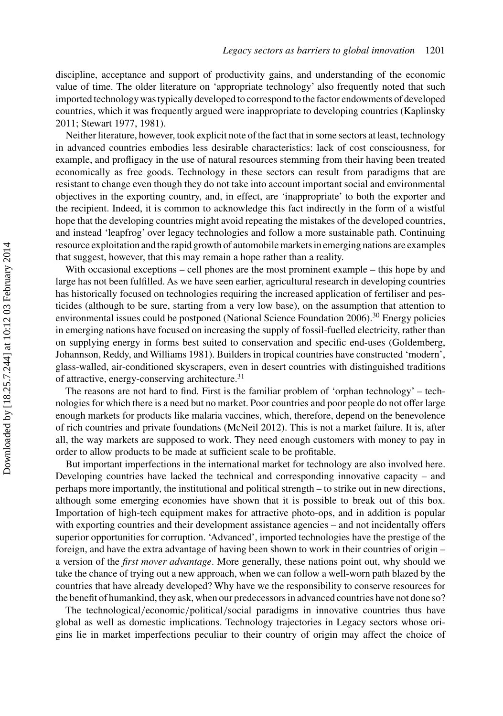discipline, acceptance and support of productivity gains, and understanding of the economic value of time. The older literature on 'appropriate technology' also frequently noted that such imported technology was typically developed to correspond to the factor endowments of developed countries, which it was frequently argued were inappropriate to developing countries [\(Kaplinsky](#page-18-0) [2011;](#page-18-0) [Stewart 1977, 1981\)](#page-19-0).

Neither literature, however, took explicit note of the fact that in some sectors at least, technology in advanced countries embodies less desirable characteristics: lack of cost consciousness, for example, and profligacy in the use of natural resources stemming from their having been treated economically as free goods. Technology in these sectors can result from paradigms that are resistant to change even though they do not take into account important social and environmental objectives in the exporting country, and, in effect, are 'inappropriate' to both the exporter and the recipient. Indeed, it is common to acknowledge this fact indirectly in the form of a wistful hope that the developing countries might avoid repeating the mistakes of the developed countries, and instead 'leapfrog' over legacy technologies and follow a more sustainable path. Continuing resource exploitation and the rapid growth of automobile markets in emerging nations are examples that suggest, however, that this may remain a hope rather than a reality.

With occasional exceptions – cell phones are the most prominent example – this hope by and large has not been fulfilled. As we have seen earlier, agricultural research in developing countries has historically focused on technologies requiring the increased application of fertiliser and pesticides (although to be sure, starting from a very low base), on the assumption that attention to environmental issues could be postponed [\(National Science Foundation 2006\)](#page-19-0).<sup>30</sup> Energy policies in emerging nations have focused on increasing the supply of fossil-fuelled electricity, rather than on supplying energy in forms best suited to conservation and specific end-uses (Goldemberg, Johannson, Reddy, and Williams 1981). Builders in tropical countries have constructed 'modern', glass-walled, air-conditioned skyscrapers, even in desert countries with distinguished traditions of attractive, energy-conserving architecture.<sup>31</sup>

The reasons are not hard to find. First is the familiar problem of 'orphan technology' – technologies for which there is a need but no market. Poor countries and poor people do not offer large enough markets for products like malaria vaccines, which, therefore, depend on the benevolence of rich countries and private foundations [\(McNeil 2012\)](#page-18-0). This is not a market failure. It is, after all, the way markets are supposed to work. They need enough customers with money to pay in order to allow products to be made at sufficient scale to be profitable.

But important imperfections in the international market for technology are also involved here. Developing countries have lacked the technical and corresponding innovative capacity – and perhaps more importantly, the institutional and political strength – to strike out in new directions, although some emerging economies have shown that it is possible to break out of this box. Importation of high-tech equipment makes for attractive photo-ops, and in addition is popular with exporting countries and their development assistance agencies – and not incidentally offers superior opportunities for corruption. 'Advanced', imported technologies have the prestige of the foreign, and have the extra advantage of having been shown to work in their countries of origin – a version of the *first mover advantage*. More generally, these nations point out, why should we take the chance of trying out a new approach, when we can follow a well-worn path blazed by the countries that have already developed? Why have we the responsibility to conserve resources for the benefit of humankind, they ask, when our predecessors in advanced countries have not done so?

The technological*/*economic*/*political*/*social paradigms in innovative countries thus have global as well as domestic implications. Technology trajectories in Legacy sectors whose origins lie in market imperfections peculiar to their country of origin may affect the choice of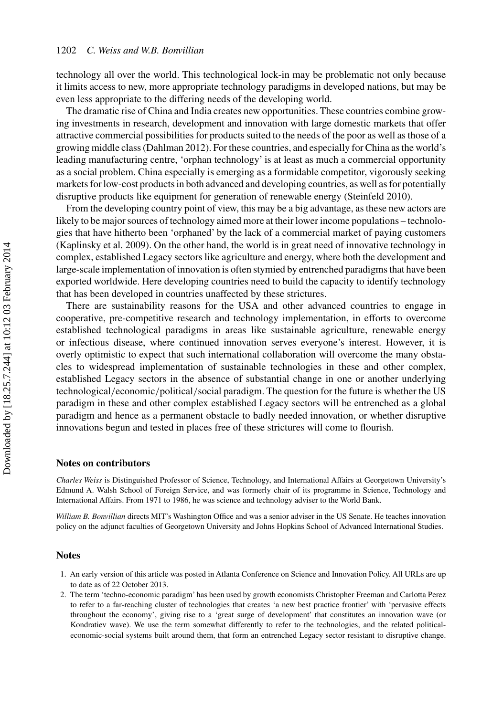technology all over the world. This technological lock-in may be problematic not only because it limits access to new, more appropriate technology paradigms in developed nations, but may be even less appropriate to the differing needs of the developing world.

The dramatic rise of China and India creates new opportunities. These countries combine growing investments in research, development and innovation with large domestic markets that offer attractive commercial possibilities for products suited to the needs of the poor as well as those of a growing middle class [\(Dahlman 2012\)](#page-17-0). For these countries, and especially for China as the world's leading manufacturing centre, 'orphan technology' is at least as much a commercial opportunity as a social problem. China especially is emerging as a formidable competitor, vigorously seeking markets for low-cost products in both advanced and developing countries, as well as for potentially disruptive products like equipment for generation of renewable energy (Steinfeld 2010).

From the developing country point of view, this may be a big advantage, as these new actors are likely to be major sources of technology aimed more at their lower income populations – technologies that have hitherto been 'orphaned' by the lack of a commercial market of paying customers [\(Kaplinsky et al. 2009\)](#page-18-0). On the other hand, the world is in great need of innovative technology in complex, established Legacy sectors like agriculture and energy, where both the development and large-scale implementation of innovation is often stymied by entrenched paradigms that have been exported worldwide. Here developing countries need to build the capacity to identify technology that has been developed in countries unaffected by these strictures.

There are sustainability reasons for the USA and other advanced countries to engage in cooperative, pre-competitive research and technology implementation, in efforts to overcome established technological paradigms in areas like sustainable agriculture, renewable energy or infectious disease, where continued innovation serves everyone's interest. However, it is overly optimistic to expect that such international collaboration will overcome the many obstacles to widespread implementation of sustainable technologies in these and other complex, established Legacy sectors in the absence of substantial change in one or another underlying technological*/*economic*/*political*/*social paradigm. The question for the future is whether the US paradigm in these and other complex established Legacy sectors will be entrenched as a global paradigm and hence as a permanent obstacle to badly needed innovation, or whether disruptive innovations begun and tested in places free of these strictures will come to flourish.

#### **Notes on contributors**

*Charles Weiss* is Distinguished Professor of Science, Technology, and International Affairs at Georgetown University's Edmund A. Walsh School of Foreign Service, and was formerly chair of its programme in Science, Technology and International Affairs. From 1971 to 1986, he was science and technology adviser to the World Bank.

*William B. Bonvillian* directs MIT's Washington Office and was a senior adviser in the US Senate. He teaches innovation policy on the adjunct faculties of Georgetown University and Johns Hopkins School of Advanced International Studies.

#### **Notes**

- 1. An early version of this article was posted in Atlanta Conference on Science and Innovation Policy. All URLs are up to date as of 22 October 2013.
- 2. The term 'techno-economic paradigm' has been used by growth economists Christopher Freeman and Carlotta Perez to refer to a far-reaching cluster of technologies that creates 'a new best practice frontier' with 'pervasive effects throughout the economy', giving rise to a 'great surge of development' that constitutes an innovation wave (or Kondratiev wave). We use the term somewhat differently to refer to the technologies, and the related politicaleconomic-social systems built around them, that form an entrenched Legacy sector resistant to disruptive change.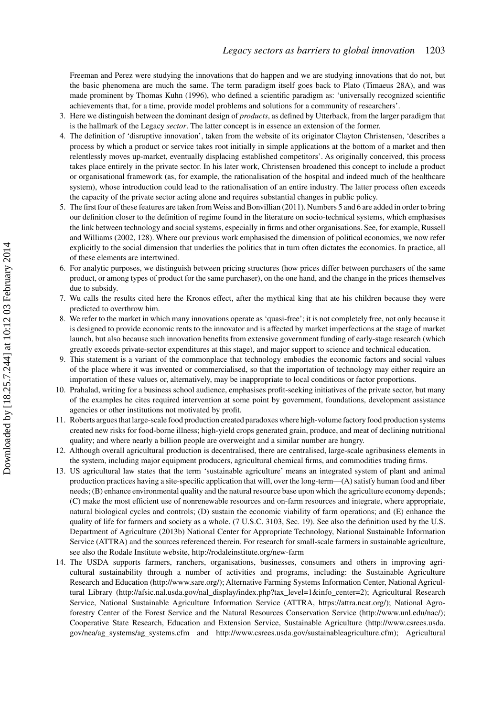Freeman and Perez were studying the innovations that do happen and we are studying innovations that do not, but the basic phenomena are much the same. The term paradigm itself goes back to Plato (Timaeus 28A), and was made prominent by Thomas Kuhn (1996), who defined a scientific paradigm as: 'universally recognized scientific achievements that, for a time, provide model problems and solutions for a community of researchers'.

- 3. Here we distinguish between the dominant design of *products*, as defined by Utterback, from the larger paradigm that is the hallmark of the Legacy *sector*. The latter concept is in essence an extension of the former.
- 4. The definition of 'disruptive innovation', taken from the website of its originator Clayton Christensen, 'describes a process by which a product or service takes root initially in simple applications at the bottom of a market and then relentlessly moves up-market, eventually displacing established competitors'. As originally conceived, this process takes place entirely in the private sector. In his later work, Christensen broadened this concept to include a product or organisational framework (as, for example, the rationalisation of the hospital and indeed much of the healthcare system), whose introduction could lead to the rationalisation of an entire industry. The latter process often exceeds the capacity of the private sector acting alone and requires substantial changes in public policy.
- 5. The first four of these features are taken from [Weiss and Bonvillian \(2011\).](#page-20-0) Numbers 5 and 6 are added in order to bring our definition closer to the definition of regime found in the literature on socio-technical systems, which emphasises the link between technology and social systems, especially in firms and other organisations. See, for example, Russell and Williams (2002, 128). Where our previous work emphasised the dimension of political economics, we now refer explicitly to the social dimension that underlies the politics that in turn often dictates the economics. In practice, all of these elements are intertwined.
- 6. For analytic purposes, we distinguish between pricing structures (how prices differ between purchasers of the same product, or among types of product for the same purchaser), on the one hand, and the change in the prices themselves due to subsidy.
- 7. Wu calls the results cited here the Kronos effect, after the mythical king that ate his children because they were predicted to overthrow him.
- 8. We refer to the market in which many innovations operate as 'quasi-free'; it is not completely free, not only because it is designed to provide economic rents to the innovator and is affected by market imperfections at the stage of market launch, but also because such innovation benefits from extensive government funding of early-stage research (which greatly exceeds private-sector expenditures at this stage), and major support to science and technical education.
- 9. This statement is a variant of the commonplace that technology embodies the economic factors and social values of the place where it was invented or commercialised, so that the importation of technology may either require an importation of these values or, alternatively, may be inappropriate to local conditions or factor proportions.
- 10. Prahalad, writing for a business school audience, emphasises profit-seeking initiatives of the private sector, but many of the examples he cites required intervention at some point by government, foundations, development assistance agencies or other institutions not motivated by profit.
- 11. Roberts argues that large-scale food production created paradoxes where high-volume factory food production systems created new risks for food-borne illness; high-yield crops generated grain, produce, and meat of declining nutritional quality; and where nearly a billion people are overweight and a similar number are hungry.
- 12. Although overall agricultural production is decentralised, there are centralised, large-scale agribusiness elements in the system, including major equipment producers, agricultural chemical firms, and commodities trading firms.
- 13. US agricultural law states that the term 'sustainable agriculture' means an integrated system of plant and animal production practices having a site-specific application that will, over the long-term—(A) satisfy human food and fiber needs; (B) enhance environmental quality and the natural resource base upon which the agriculture economy depends; (C) make the most efficient use of nonrenewable resources and on-farm resources and integrate, where appropriate, natural biological cycles and controls; (D) sustain the economic viability of farm operations; and (E) enhance the quality of life for farmers and society as a whole. (7 U.S.C. 3103, Sec. 19). See also the definition used by the U.S. Department of Agriculture (2013b) National Center for Appropriate Technology, National Sustainable Information Service (ATTRA) and the sources referenced therein. For research for small-scale farmers in sustainable agriculture, see also the Rodale Institute website,<http://rodaleinstitute.org/new-farm>
- 14. The USDA supports farmers, ranchers, organisations, businesses, consumers and others in improving agricultural sustainability through a number of activities and programs, including: the Sustainable Agriculture Research and Education (http://www.sare.org/); Alternative Farming Systems Information Center, National Agricultural Library [\(http://afsic.nal.usda.gov/nal\\_display/index.php?tax\\_level=1&info\\_center=2\)](http://afsic.nal.usda.gov/nal_display/index.php?tax_level=1&info_center=2); Agricultural Research Service, National Sustainable Agriculture Information Service (ATTRA, [https://attra.ncat.org/\)](https://attra.ncat.org/); National Agroforestry Center of the Forest Service and the Natural Resources Conservation Service [\(http://www.unl.edu/nac/\)](http://www.unl.edu/nac/); Cooperative State Research, Education and Extension Service, Sustainable Agriculture [\(http://www.csrees.usda.](http://www.csrees.usda.gov/nea/ag_systems/ag_systems.cfm) [gov/nea/ag\\_systems/ag\\_systems.cfm](http://www.csrees.usda.gov/nea/ag_systems/ag_systems.cfm) and [http://www.csrees.usda.gov/sustainableagriculture.cfm\)](http://www.csrees.usda.gov/sustainableagriculture.cfm); Agricultural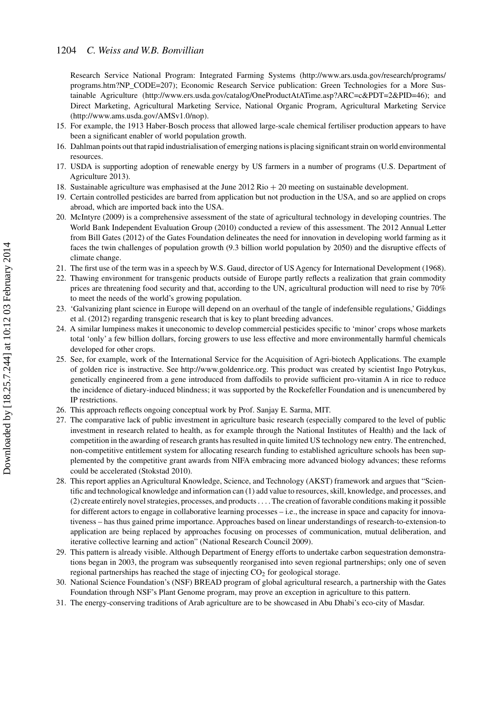Research Service National Program: Integrated Farming Systems [\(http://www.ars.usda.gov/research/programs/](http://www.ars.usda.gov/research/programs/programs.htm?NP_CODE=207) [programs.htm?NP\\_CODE=207\)](http://www.ars.usda.gov/research/programs/programs.htm?NP_CODE=207); Economic Research Service publication: Green Technologies for a More Sustainable Agriculture [\(http://www.ers.usda.gov/catalog/OneProductAtATime.asp?ARC=c&PDT=2&PID=46\)](http://www.ers.usda.gov/catalog/OneProductAtATime.asp?ARC=c&PDT=2&PID=46); and Direct Marketing, Agricultural Marketing Service, National Organic Program, Agricultural Marketing Service [\(http://www.ams.usda.gov/AMSv1.0/nop\)](http://www.ams.usda.gov/AMSv1.0/nop).

- 15. For example, the 1913 Haber-Bosch process that allowed large-scale chemical fertiliser production appears to have been a significant enabler of world population growth.
- 16. Dahlman points out that rapid industrialisation of emerging nations is placing significant strain on world environmental resources.
- 17. USDA is supporting adoption of renewable energy by US farmers in a number of programs (U.S. Department of Agriculture 2013).
- 18. Sustainable agriculture was emphasised at the June 2012 Rio + 20 meeting on sustainable development.
- 19. Certain controlled pesticides are barred from application but not production in the USA, and so are applied on crops abroad, which are imported back into the USA.
- 20. McIntyre (2009) is a comprehensive assessment of the state of agricultural technology in developing countries. The World Bank Independent Evaluation Group (2010) conducted a review of this assessment. The 2012 Annual Letter from Bill Gates (2012) of the Gates Foundation delineates the need for innovation in developing world farming as it faces the twin challenges of population growth (9.3 billion world population by 2050) and the disruptive effects of climate change.
- 21. The first use of the term was in a speech by W.S. Gaud, director of US Agency for International Development (1968).
- 22. Thawing environment for transgenic products outside of Europe partly reflects a realization that grain commodity prices are threatening food security and that, according to the UN, agricultural production will need to rise by 70% to meet the needs of the world's growing population.
- 23. 'Galvanizing plant science in Europe will depend on an overhaul of the tangle of indefensible regulations,' Giddings et al. (2012) regarding transgenic research that is key to plant breeding advances.
- 24. A similar lumpiness makes it uneconomic to develop commercial pesticides specific to 'minor' crops whose markets total 'only' a few billion dollars, forcing growers to use less effective and more environmentally harmful chemicals developed for other crops.
- 25. See, for example, work of the International Service for the Acquisition of Agri-biotech Applications. The example of golden rice is instructive. See [http://www.goldenrice.org.](http://www.goldenrice.org) This product was created by scientist Ingo Potrykus, genetically engineered from a gene introduced from daffodils to provide sufficient pro-vitamin A in rice to reduce the incidence of dietary-induced blindness; it was supported by the Rockefeller Foundation and is unencumbered by IP restrictions.
- 26. This approach reflects ongoing conceptual work by Prof. Sanjay E. Sarma, MIT.
- 27. The comparative lack of public investment in agriculture basic research (especially compared to the level of public investment in research related to health, as for example through the National Institutes of Health) and the lack of competition in the awarding of research grants has resulted in quite limited US technology new entry. The entrenched, non-competitive entitlement system for allocating research funding to established agriculture schools has been supplemented by the competitive grant awards from NIFA embracing more advanced biology advances; these reforms could be accelerated [\(Stokstad 2010\)](#page-19-0).
- 28. This report applies an Agricultural Knowledge, Science, and Technology (AKST) framework and argues that "Scientific and technological knowledge and information can (1) add value to resources, skill, knowledge, and processes, and (2) create entirely novel strategies, processes, and products*...* . The creation of favorable conditions making it possible for different actors to engage in collaborative learning processes – i.e., the increase in space and capacity for innovativeness – has thus gained prime importance. Approaches based on linear understandings of research-to-extension-to application are being replaced by approaches focusing on processes of communication, mutual deliberation, and iterative collective learning and action" (National Research Council 2009).
- 29. This pattern is already visible. Although Department of Energy efforts to undertake carbon sequestration demonstrations began in 2003, the program was subsequently reorganised into seven regional partnerships; only one of seven regional partnerships has reached the stage of injecting  $CO<sub>2</sub>$  for geological storage.
- 30. National Science Foundation's (NSF) BREAD program of global agricultural research, a partnership with the Gates Foundation through NSF's Plant Genome program, may prove an exception in agriculture to this pattern.
- 31. The energy-conserving traditions of Arab agriculture are to be showcased in Abu Dhabi's eco-city of Masdar.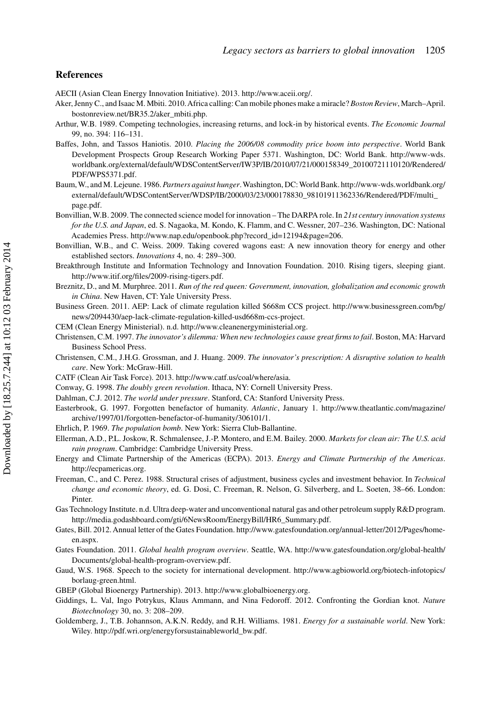#### <span id="page-17-0"></span>**References**

AECII (Asian Clean Energy Innovation Initiative). 2013. [http://www.aceii.org/.](http://www.aceii.org/)

- Aker, Jenny C., and Isaac M. Mbiti. 2010.Africa calling: Can mobile phones make a miracle? *Boston Review*, March–April. [bostonreview.net/BR35.2/aker\\_mbiti.php.](file:bostonreview.net/BR35.2/aker{protect LY1	extunderscore }mbiti.php)
- Arthur, W.B. 1989. Competing technologies, increasing returns, and lock-in by historical events. *The Economic Journal* 99, no. 394: 116–131.
- Baffes, John, and Tassos Haniotis. 2010. *Placing the 2006/08 commodity price boom into perspective*. World Bank Development Prospects Group Research Working Paper 5371. Washington, DC: World Bank. [http://www-wds.](http://www-wds.worldbank.org/external/default/WDSContentServer/IW3P/IB/2010/07/21/000158349{protect LY1	extunderscore }20100721110120/Rendered/PDF/WPS5371.pdf) [worldbank.org/external/default/WDSContentServer/IW3P/IB/2010/07/21/000158349\\_20100721110120/Rendered/](http://www-wds.worldbank.org/external/default/WDSContentServer/IW3P/IB/2010/07/21/000158349{protect LY1	extunderscore }20100721110120/Rendered/PDF/WPS5371.pdf) [PDF/WPS5371.pdf.](http://www-wds.worldbank.org/external/default/WDSContentServer/IW3P/IB/2010/07/21/000158349{protect LY1	extunderscore }20100721110120/Rendered/PDF/WPS5371.pdf)
- Baum,W., and M. Lejeune. 1986. *Partners against hunger*. Washington, DC:World Bank. [http://www-wds.worldbank.org/](http://www-wds.worldbank.org/external/default/WDSContentServer/WDSP/IB/2000/03/23/000178830{protect LY1	extunderscore }98101911362336/Rendered/PDF/multi{protect LY1	extunderscore }page.pdf) [external/default/WDSContentServer/WDSP/IB/2000/03/23/000178830\\_98101911362336/Rendered/PDF/multi\\_](http://www-wds.worldbank.org/external/default/WDSContentServer/WDSP/IB/2000/03/23/000178830{protect LY1	extunderscore }98101911362336/Rendered/PDF/multi{protect LY1	extunderscore }page.pdf) [page.pdf.](http://www-wds.worldbank.org/external/default/WDSContentServer/WDSP/IB/2000/03/23/000178830{protect LY1	extunderscore }98101911362336/Rendered/PDF/multi{protect LY1	extunderscore }page.pdf)
- Bonvillian, W.B. 2009. The connected science model for innovation The DARPA role. In *21st century innovation systems for the U.S. and Japan*, ed. S. Nagaoka, M. Kondo, K. Flamm, and C. Wessner, 207–236. Washington, DC: National Academies Press. [http://www.nap.edu/openbook.php?record\\_id=12194&page=206.](http://www.nap.edu/openbook.php?record{protect LY1	extunderscore }id=12194{&}page=206)
- Bonvillian, W.B., and C. Weiss. 2009. Taking covered wagons east: A new innovation theory for energy and other established sectors. *Innovations* 4, no. 4: 289–300.
- Breakthrough Institute and Information Technology and Innovation Foundation. 2010. Rising tigers, sleeping giant. [http://www.itif.org/files/2009-rising-tigers.pdf.](http://www.itif.org/files/2009-rising-tigers.pdf)
- Breznitz, D., and M. Murphree. 2011. *Run of the red queen: Government, innovation, globalization and economic growth in China*. New Haven, CT: Yale University Press.
- Business Green. 2011. AEP: Lack of climate regulation killed \$668m CCS project. [http://www.businessgreen.com/bg/](http://www.businessgreen.com/bg/news/2094430/aep-lack-climate-regulation-killed-usd668m-ccs-project) [news/2094430/aep-lack-climate-regulation-killed-usd668m-ccs-project.](http://www.businessgreen.com/bg/news/2094430/aep-lack-climate-regulation-killed-usd668m-ccs-project)
- CEM (Clean Energy Ministerial). n.d. [http://www.cleanenergyministerial.org.](http://www.cleanenergyministerial.org)
- Christensen, C.M. 1997. *The innovator's dilemma: When new technologies cause great firms to fail*. Boston, MA: Harvard Business School Press.
- Christensen, C.M., J.H.G. Grossman, and J. Huang. 2009. *The innovator's prescription: A disruptive solution to health care*. New York: McGraw-Hill.
- CATF (Clean Air Task Force). 2013. [http://www.catf.us/coal/where/asia.](http://www.catf.us/coal/where/asia)
- Conway, G. 1998. *The doubly green revolution*. Ithaca, NY: Cornell University Press.
- Dahlman, C.J. 2012. *The world under pressure*. Stanford, CA: Stanford University Press.
- Easterbrook, G. 1997. Forgotten benefactor of humanity. *Atlantic*, January 1. [http://www.theatlantic.com/magazine/](http://www.theatlantic.com/magazine/archive/1997/01/forgotten-benefactor-of-humanity/306101/1) [archive/1997/01/forgotten-benefactor-of-humanity/306101/1.](http://www.theatlantic.com/magazine/archive/1997/01/forgotten-benefactor-of-humanity/306101/1)
- Ehrlich, P. 1969. *The population bomb*. New York: Sierra Club-Ballantine.
- Ellerman, A.D., P.L. Joskow, R. Schmalensee, J.-P. Montero, and E.M. Bailey. 2000. *Markets for clean air: The U.S. acid rain program*. Cambridge: Cambridge University Press.
- Energy and Climate Partnership of the Americas (ECPA). 2013. *Energy and Climate Partnership of the Americas*. [http://ecpamericas.org.](http://ecpamericas.org)
- Freeman, C., and C. Perez. 1988. Structural crises of adjustment, business cycles and investment behavior. In *Technical change and economic theory*, ed. G. Dosi, C. Freeman, R. Nelson, G. Silverberg, and L. Soeten, 38–66. London: Pinter.
- Gas Technology Institute. n.d. Ultra deep-water and unconventional natural gas and other petroleum supply R&D program. [http://media.godashboard.com/gti/6NewsRoom/EnergyBill/HR6\\_Summary.pdf.](http://media.godashboard.com/gti/6NewsRoom/EnergyBill/HR6{protect LY1	extunderscore }Summary.pdf)
- Gates, Bill. 2012. Annual letter of the Gates Foundation. [http://www.gatesfoundation.org/annual-letter/2012/Pages/home](http://www.gatesfoundation.org/annual-letter/2012/Pages/home-en.aspx)[en.aspx.](http://www.gatesfoundation.org/annual-letter/2012/Pages/home-en.aspx)
- Gates Foundation. 2011. *Global health program overview*. Seattle, WA. [http://www.gatesfoundation.org/global-health/](http://www.gatesfoundation.org/global-health/Documents/global-health-program-overview.pdf) [Documents/global-health-program-overview.pdf.](http://www.gatesfoundation.org/global-health/Documents/global-health-program-overview.pdf)
- Gaud, W.S. 1968. Speech to the society for international development. [http://www.agbioworld.org/biotech-infotopics/](http://www.agbioworld.org/biotech-infotopics/borlaug-green.html) [borlaug-green.html.](http://www.agbioworld.org/biotech-infotopics/borlaug-green.html)
- GBEP (Global Bioenergy Partnership). 2013. [http://www.globalbioenergy.org.](http://www.globalbioenergy.org)
- Giddings, L. Val, Ingo Potrykus, Klaus Ammann, and Nina Fedoroff. 2012. Confronting the Gordian knot. *Nature Biotechnology* 30, no. 3: 208–209.
- Goldemberg, J., T.B. Johannson, A.K.N. Reddy, and R.H. Williams. 1981. *Energy for a sustainable world*. New York: Wiley. [http://pdf.wri.org/energyforsustainableworld\\_bw.pdf.](http://pdf.wri.org/energyforsustainableworld{protect LY1	extunderscore }bw.pdf)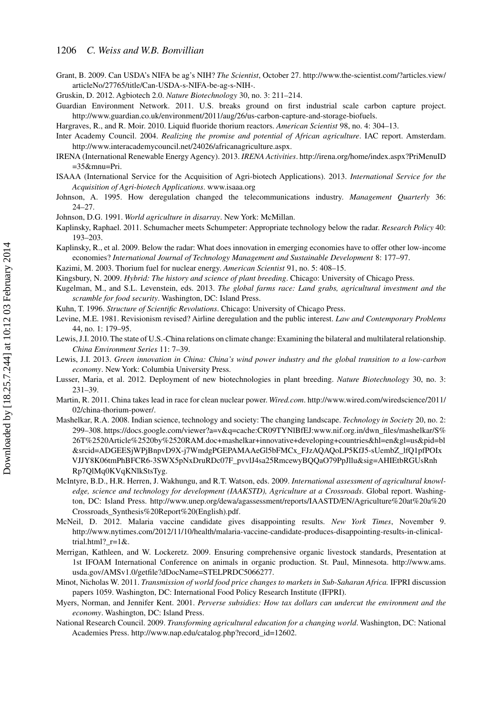- <span id="page-18-0"></span>Grant, B. 2009. Can USDA's NIFA be ag's NIH? *The Scientist*, October 27. [http://www.the-scientist.com/?articles.view/](http://www.the-scientist.com/?articles.view/articleNo/27765/title/Can-USDA-s-NIFA-be-ag-s-NIH-) [articleNo/27765/title/Can-USDA-s-NIFA-be-ag-s-NIH-.](http://www.the-scientist.com/?articles.view/articleNo/27765/title/Can-USDA-s-NIFA-be-ag-s-NIH-)
- Gruskin, D. 2012. Agbiotech 2.0. *Nature Biotechnology* 30, no. 3: 211–214.
- Guardian Environment Network. 2011. U.S. breaks ground on first industrial scale carbon capture project. [http://www.guardian.co.uk/environment/2011/aug/26/us-carbon-capture-and-storage-biofuels.](http://www.guardian.co.uk/environment/2011/aug/26/us-carbon-capture-and-storage-biofuels)

Hargraves, R., and R. Moir. 2010. Liquid fluoride thorium reactors. *American Scientist* 98, no. 4: 304–13.

- Inter Academy Council. 2004. *Realizing the promise and potential of African agriculture*. IAC report. Amsterdam. [http://www.interacademycouncil.net/24026/africanagriculture.aspx.](http://www.interacademycouncil.net/24026/africanagriculture.aspx)
- IRENA (International Renewable Energy Agency). 2013. *IRENA Activities*. [http://irena.org/home/index.aspx?PriMenuID](http://irena.org/home/index.aspx?PriMenuID=35&mnu=Pri) [=35&mnu=Pri.](http://irena.org/home/index.aspx?PriMenuID=35&mnu=Pri)
- ISAAA (International Service for the Acquisition of Agri-biotech Applications). 2013. *International Service for the Acquisition of Agri-biotech Applications*. [www.isaaa.org](http://www.isaaa.org)
- Johnson, A. 1995. How deregulation changed the telecommunications industry. *Management Quarterly* 36: 24–27.
- Johnson, D.G. 1991. *World agriculture in disarray*. New York: McMillan.
- Kaplinsky, Raphael. 2011. Schumacher meets Schumpeter: Appropriate technology below the radar. *Research Policy* 40: 193–203.
- Kaplinsky, R., et al. 2009. Below the radar: What does innovation in emerging economies have to offer other low-income economies? *International Journal of Technology Management and Sustainable Development* 8: 177–97.
- Kazimi, M. 2003. Thorium fuel for nuclear energy. *American Scientist* 91, no. 5: 408–15.
- Kingsbury, N. 2009. *Hybrid: The history and science of plant breeding*. Chicago: University of Chicago Press.
- Kugelman, M., and S.L. Levenstein, eds. 2013. *The global farms race: Land grabs, agricultural investment and the scramble for food security*. Washington, DC: Island Press.
- Kuhn, T. 1996. *Structure of Scientific Revolutions*. Chicago: University of Chicago Press.
- Levine, M.E. 1981. Revisionism revised? Airline deregulation and the public interest. *Law and Contemporary Problems* 44, no. 1: 179–95.
- Lewis, J.I. 2010. The state of U.S.-China relations on climate change: Examining the bilateral and multilateral relationship. *China Environment Series* 11: 7–39.
- Lewis, J.I. 2013. *Green innovation in China: China's wind power industry and the global transition to a low-carbon economy*. New York: Columbia University Press.
- Lusser, Maria, et al. 2012. Deployment of new biotechnologies in plant breeding. *Nature Biotechnology* 30, no. 3: 231–39.
- Martin, R. 2011. China takes lead in race for clean nuclear power. *Wired.com*. [http://www.wired.com/wiredscience/2011/](http://www.wired.com/wiredscience/2011/02/china-thorium-power/) [02/china-thorium-power/.](http://www.wired.com/wiredscience/2011/02/china-thorium-power/)
- Mashelkar, R.A. 2008. Indian science, technology and society: The changing landscape. *Technology in Society* 20, no. 2: 299–308. [https://docs.google.com/viewer?a=v&q=cache:CR09TYNlBfEJ:www.nif.org.in/dwn\\_files/mashelkar/S%](https://docs.google.com/viewer?a=v{&}q=cache:CR09TYNlBfEJ:www.nif.org.in/dwn_files/mashelkar/S{%}26T{%}2520Article{%}2520by{%}2520RAM.doc+mashelkar+innovative+developing+countries{&}hl=en{&}gl=us{&}pid=bl{&}srcid=ADGEESjWPjBnpvD9X-j7WmdgPGEPAMAAeGl5bFMCx{protect LY1	extunderscore }FJzAQAQoLP5KfJ5-sUembZ{protect LY1	extunderscore }lfQ1pfPOIxVJJY8K06tmPhBFCR6-3SWX5pNxDruRDc07F{protect LY1	extunderscore }pvvlJ4sa25RmcewyBQQaO79PpJllu{&}sig=AHIEtbRGUsRnhRp7QlMq0KVqKNlkStsTyg) [26T%2520Article%2520by%2520RAM.doc+mashelkar+innovative+developing+countries&hl=en&gl=us&pid=bl](https://docs.google.com/viewer?a=v{&}q=cache:CR09TYNlBfEJ:www.nif.org.in/dwn_files/mashelkar/S{%}26T{%}2520Article{%}2520by{%}2520RAM.doc+mashelkar+innovative+developing+countries{&}hl=en{&}gl=us{&}pid=bl{&}srcid=ADGEESjWPjBnpvD9X-j7WmdgPGEPAMAAeGl5bFMCx{protect LY1	extunderscore }FJzAQAQoLP5KfJ5-sUembZ{protect LY1	extunderscore }lfQ1pfPOIxVJJY8K06tmPhBFCR6-3SWX5pNxDruRDc07F{protect LY1	extunderscore }pvvlJ4sa25RmcewyBQQaO79PpJllu{&}sig=AHIEtbRGUsRnhRp7QlMq0KVqKNlkStsTyg) [&srcid=ADGEESjWPjBnpvD9X-j7WmdgPGEPAMAAeGl5bFMCx\\_FJzAQAQoLP5KfJ5-sUembZ\\_lfQ1pfPOIx](https://docs.google.com/viewer?a=v{&}q=cache:CR09TYNlBfEJ:www.nif.org.in/dwn_files/mashelkar/S{%}26T{%}2520Article{%}2520by{%}2520RAM.doc+mashelkar+innovative+developing+countries{&}hl=en{&}gl=us{&}pid=bl{&}srcid=ADGEESjWPjBnpvD9X-j7WmdgPGEPAMAAeGl5bFMCx{protect LY1	extunderscore }FJzAQAQoLP5KfJ5-sUembZ{protect LY1	extunderscore }lfQ1pfPOIxVJJY8K06tmPhBFCR6-3SWX5pNxDruRDc07F{protect LY1	extunderscore }pvvlJ4sa25RmcewyBQQaO79PpJllu{&}sig=AHIEtbRGUsRnhRp7QlMq0KVqKNlkStsTyg) [VJJY8K06tmPhBFCR6-3SWX5pNxDruRDc07F\\_pvvlJ4sa25RmcewyBQQaO79PpJllu&sig=AHIEtbRGUsRnh](https://docs.google.com/viewer?a=v{&}q=cache:CR09TYNlBfEJ:www.nif.org.in/dwn_files/mashelkar/S{%}26T{%}2520Article{%}2520by{%}2520RAM.doc+mashelkar+innovative+developing+countries{&}hl=en{&}gl=us{&}pid=bl{&}srcid=ADGEESjWPjBnpvD9X-j7WmdgPGEPAMAAeGl5bFMCx{protect LY1	extunderscore }FJzAQAQoLP5KfJ5-sUembZ{protect LY1	extunderscore }lfQ1pfPOIxVJJY8K06tmPhBFCR6-3SWX5pNxDruRDc07F{protect LY1	extunderscore }pvvlJ4sa25RmcewyBQQaO79PpJllu{&}sig=AHIEtbRGUsRnhRp7QlMq0KVqKNlkStsTyg) [Rp7QlMq0KVqKNlkStsTyg.](https://docs.google.com/viewer?a=v{&}q=cache:CR09TYNlBfEJ:www.nif.org.in/dwn_files/mashelkar/S{%}26T{%}2520Article{%}2520by{%}2520RAM.doc+mashelkar+innovative+developing+countries{&}hl=en{&}gl=us{&}pid=bl{&}srcid=ADGEESjWPjBnpvD9X-j7WmdgPGEPAMAAeGl5bFMCx{protect LY1	extunderscore }FJzAQAQoLP5KfJ5-sUembZ{protect LY1	extunderscore }lfQ1pfPOIxVJJY8K06tmPhBFCR6-3SWX5pNxDruRDc07F{protect LY1	extunderscore }pvvlJ4sa25RmcewyBQQaO79PpJllu{&}sig=AHIEtbRGUsRnhRp7QlMq0KVqKNlkStsTyg)
- McIntyre, B.D., H.R. Herren, J. Wakhungu, and R.T. Watson, eds. 2009. *International assessment of agricultural knowledge, science and technology for development (IAAKSTD), Agriculture at a Crossroads*. Global report. Washington, DC: Island Press. [http://www.unep.org/dewa/agassessment/reports/IAASTD/EN/Agriculture%20at%20a%20](http://www.unep.org/dewa/agassessment/reports/IAASTD/EN/Agriculture%20at%20a%20Crossroads_Synthesis%20Report%20(English).pdf) [Crossroads\\_Synthesis%20Report%20\(English\).pdf.](http://www.unep.org/dewa/agassessment/reports/IAASTD/EN/Agriculture%20at%20a%20Crossroads_Synthesis%20Report%20(English).pdf)
- McNeil, D. 2012. Malaria vaccine candidate gives disappointing results. *New York Times*, November 9. [http://www.nytimes.com/2012/11/10/health/malaria-vaccine-candidate-produces-disappointing-results-in-clinical](http://www.nytimes.com/2012/11/10/health/malaria-vaccine-candidate-produces-disappointing-results-in-clinical-trial.html?{protect LY1	extunderscore }r=1{&})trial.html?  $r=1$ &.
- Merrigan, Kathleen, and W. Lockeretz. 2009. Ensuring comprehensive organic livestock standards, Presentation at 1st IFOAM International Conference on animals in organic production. St. Paul, Minnesota. [http://www.ams.](http://www.ams.usda.gov/AMSv1.0/getfile?dDocName=STELPRDC5066277) [usda.gov/AMSv1.0/getfile?dDocName=STELPRDC5066277.](http://www.ams.usda.gov/AMSv1.0/getfile?dDocName=STELPRDC5066277)
- Minot, Nicholas W. 2011. *Transmission of world food price changes to markets in Sub-Saharan Africa.* IFPRI discussion papers 1059. Washington, DC: International Food Policy Research Institute (IFPRI).
- Myers, Norman, and Jennifer Kent. 2001. *Perverse subsidies: How tax dollars can undercut the environment and the economy*. Washington, DC: Island Press.
- National Research Council. 2009. *Transforming agricultural education for a changing world*. Washington, DC: National Academies Press. [http://www.nap.edu/catalog.php?record\\_id=12602.](http://www.nap.edu/catalog.php?record{protect LY1	extunderscore }id=12602)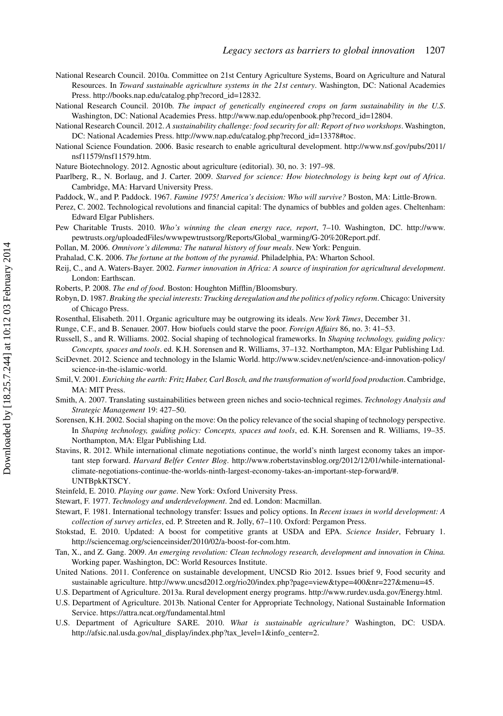- <span id="page-19-0"></span>National Research Council. 2010a. Committee on 21st Century Agriculture Systems, Board on Agriculture and Natural Resources. In *Toward sustainable agriculture systems in the 21st century*. Washington, DC: National Academies Press. [http://books.nap.edu/catalog.php?record\\_id=12832.](http://books.nap.edu/catalog.php?record{protect LY1	extunderscore }id=12832)
- National Research Council. 2010b. *The impact of genetically engineered crops on farm sustainability in the U.S*. Washington, DC: National Academies Press. [http://www.nap.edu/openbook.php?record\\_id=12804.](http://www.nap.edu/openbook.php?record{protect LY1	extunderscore }id=12804)
- National Research Council. 2012. *A sustainability challenge: food security for all: Report of two workshops*. Washington, DC: National Academies Press. [http://www.nap.edu/catalog.php?record\\_id=13378#toc.](http://www.nap.edu/catalog.php?record{protect LY1	extunderscore }id=13378{#}toc)
- National Science Foundation. 2006. Basic research to enable agricultural development. [http://www.nsf.gov/pubs/2011/](http://www.nsf.gov/pubs/2011/nsf11579/nsf11579.htm) [nsf11579/nsf11579.htm.](http://www.nsf.gov/pubs/2011/nsf11579/nsf11579.htm)
- Nature Biotechnology. 2012. Agnostic about agriculture (editorial). 30, no. 3: 197–98.
- Paarlberg, R., N. Borlaug, and J. Carter. 2009. *Starved for science: How biotechnology is being kept out of Africa*. Cambridge, MA: Harvard University Press.
- Paddock, W., and P. Paddock. 1967. *Famine 1975! America's decision: Who will survive?* Boston, MA: Little-Brown.
- Perez, C. 2002. Technological revolutions and financial capital: The dynamics of bubbles and golden ages. Cheltenham: Edward Elgar Publishers.
- Pew Charitable Trusts. 2010. *Who's winning the clean energy race, report*, 7–10. Washington, DC. [http://www.](http://www.pewtrusts.org/uploadedFiles/wwwpewtrustsorg/Reports/Global_warming/G-20%20Report.pdf) [pewtrusts.org/uploadedFiles/wwwpewtrustsorg/Reports/Global\\_warming/G-20%20Report.pdf.](http://www.pewtrusts.org/uploadedFiles/wwwpewtrustsorg/Reports/Global_warming/G-20%20Report.pdf)
- Pollan, M. 2006. *Omnivore's dilemma: The natural history of four meals*. New York: Penguin.
- Prahalad, C.K. 2006. *The fortune at the bottom of the pyramid*. Philadelphia, PA: Wharton School.
- Reij, C., and A. Waters-Bayer. 2002. *Farmer innovation in Africa: A source of inspiration for agricultural development*. London: Earthscan.
- Roberts, P. 2008. *The end of food*. Boston: Houghton Mifflin*/*Bloomsbury.
- Robyn, D. 1987. *Braking the special interests: Trucking deregulation and the politics of policy reform*. Chicago: University of Chicago Press.
- Rosenthal, Elisabeth. 2011. Organic agriculture may be outgrowing its ideals. *New York Times*, December 31.
- Runge, C.F., and B. Senauer. 2007. How biofuels could starve the poor. *Foreign Affairs* 86, no. 3: 41–53.
- Russell, S., and R. Williams. 2002. Social shaping of technological frameworks. In *Shaping technology, guiding policy: Concepts, spaces and tools*. ed. K.H. Sorensen and R. Williams, 37–132. Northampton, MA: Elgar Publishing Ltd.
- SciDevnet. 2012. Science and technology in the Islamic World. [http://www.scidev.net/en/science-and-innovation-policy/](http://www.scidev.net/en/science-and-innovation-policy/science-in-the-islamic-world) [science-in-the-islamic-world.](http://www.scidev.net/en/science-and-innovation-policy/science-in-the-islamic-world)
- Smil, V. 2001. *Enriching the earth: Fritz Haber, Carl Bosch, and the transformation of world food production*. Cambridge, MA: MIT Press.
- Smith, A. 2007. Translating sustainabilities between green niches and socio-technical regimes. *Technology Analysis and Strategic Management* 19: 427–50.
- Sorensen, K.H. 2002. Social shaping on the move: On the policy relevance of the social shaping of technology perspective. In *Shaping technology, guiding policy: Concepts, spaces and tools*, ed. K.H. Sorensen and R. Williams, 19–35. Northampton, MA: Elgar Publishing Ltd.
- Stavins, R. 2012. While international climate negotiations continue, the world's ninth largest economy takes an important step forward. *Harvard Belfer Center Blog*. [http://www.robertstavinsblog.org/2012/12/01/while-international](http://www.robertstavinsblog.org/2012/12/01/while-international-climate-negotiations-continue-the-worlds-ninth-largest-economy-takes-an-important-step-forward/{#}.UNTBpkKTSCY)[climate-negotiations-continue-the-worlds-ninth-largest-economy-takes-an-important-step-forward/#.](http://www.robertstavinsblog.org/2012/12/01/while-international-climate-negotiations-continue-the-worlds-ninth-largest-economy-takes-an-important-step-forward/{#}.UNTBpkKTSCY) [UNTBpkKTSCY.](http://www.robertstavinsblog.org/2012/12/01/while-international-climate-negotiations-continue-the-worlds-ninth-largest-economy-takes-an-important-step-forward/{#}.UNTBpkKTSCY)
- Steinfeld, E. 2010. *Playing our game*. New York: Oxford University Press.
- Stewart, F. 1977. *Technology and underdevelopment*. 2nd ed. London: Macmillan.
- Stewart, F. 1981. International technology transfer: Issues and policy options. In *Recent issues in world development: A collection of survey articles*, ed. P. Streeten and R. Jolly, 67–110. Oxford: Pergamon Press.
- Stokstad, E. 2010. Updated: A boost for competitive grants at USDA and EPA. *Science Insider*, February 1. [http://sciencemag.org/scienceinsider/2010/02/a-boost-for-com.htm.](http://sciencemag.org/scienceinsider/2010/02/a-boost-for-com.htm)
- Tan, X., and Z. Gang. 2009. *An emerging revolution: Clean technology research, development and innovation in China.* Working paper. Washington, DC: World Resources Institute.
- United Nations. 2011. Conference on sustainable development, UNCSD Rio 2012. Issues brief 9, Food security and sustainable agriculture. [http://www.uncsd2012.org/rio20/index.php?page=view&type=400&nr=227&menu=45.](http://www.uncsd2012.org/rio20/index.php?page=view{&}type=400{&}nr=227{&}menu=45)
- U.S. Department of Agriculture. 2013a. Rural development energy programs. [http://www.rurdev.usda.gov/Energy.html.](http://www.rurdev.usda.gov/Energy.html)
- U.S. Department of Agriculture. 2013b. National Center for Appropriate Technology, National Sustainable Information Service.<https://attra.ncat.org/fundamental.html>
- U.S. Department of Agriculture SARE. 2010. *What is sustainable agriculture?* Washington, DC: USDA. [http://afsic.nal.usda.gov/nal\\_display/index.php?tax\\_level=1&info\\_center=2.](http://afsic.nal.usda.gov/nal{protect LY1	extunderscore }display/index.php?tax{protect LY1	extunderscore }level=1{&}info{protect LY1	extunderscore }center=2)